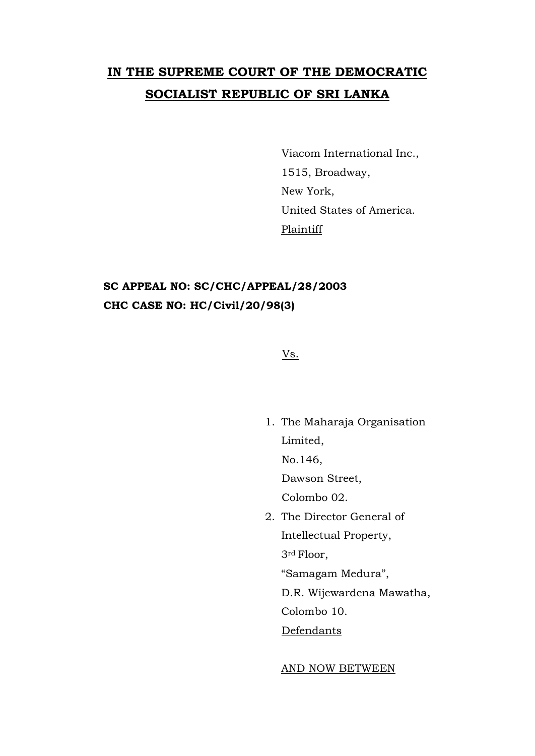# **IN THE SUPREME COURT OF THE DEMOCRATIC SOCIALIST REPUBLIC OF SRI LANKA**

Viacom International Inc., 1515, Broadway, New York, United States of America. **Plaintiff** 

# **SC APPEAL NO: SC/CHC/APPEAL/28/2003 CHC CASE NO: HC/Civil/20/98(3)**

Vs.

1. The Maharaja Organisation Limited, No.146, Dawson Street, Colombo 02. 2. The Director General of Intellectual Property,

3rd Floor, "Samagam Medura", D.R. Wijewardena Mawatha,

Colombo 10.

Defendants

#### AND NOW BETWEEN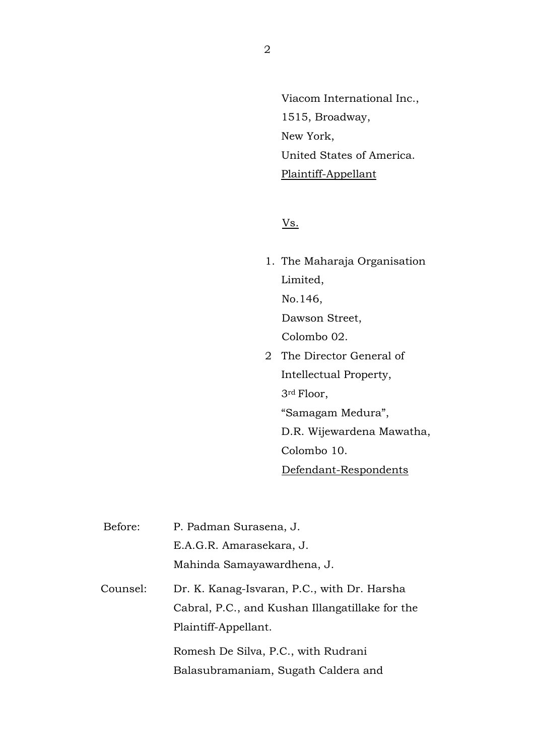Viacom International Inc., 1515, Broadway, New York, United States of America. Plaintiff-Appellant

Vs.

1. The Maharaja Organisation Limited, No.146, Dawson Street, Colombo 02. 2 The Director General of Intellectual Property,

3rd Floor,

"Samagam Medura",

D.R. Wijewardena Mawatha,

Colombo 10.

Defendant-Respondents

| Before:  | P. Padman Surasena, J.                          |
|----------|-------------------------------------------------|
|          | E.A.G.R. Amarasekara, J.                        |
|          | Mahinda Samayawardhena, J.                      |
| Counsel: | Dr. K. Kanag-Isvaran, P.C., with Dr. Harsha     |
|          | Cabral, P.C., and Kushan Illangatillake for the |
|          | Plaintiff-Appellant.                            |
|          | Romesh De Silva, P.C., with Rudrani             |
|          | Balasubramaniam, Sugath Caldera and             |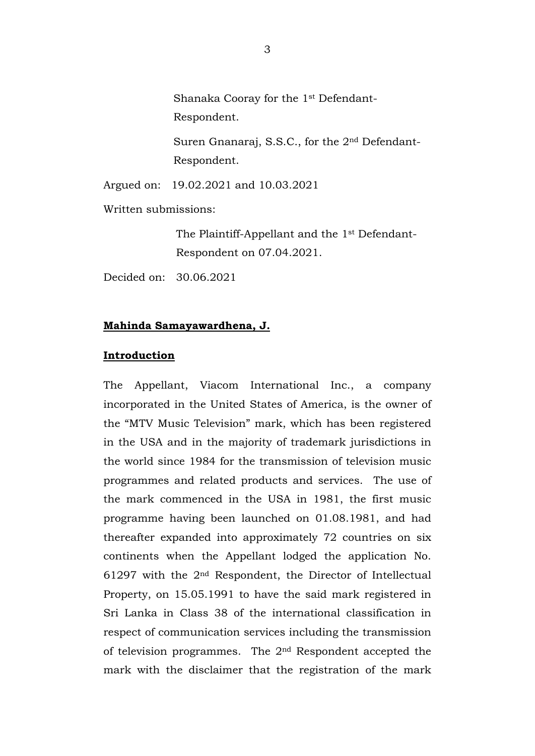Shanaka Cooray for the 1st Defendant-Respondent.

Suren Gnanaraj, S.S.C., for the 2nd Defendant-Respondent.

Argued on: 19.02.2021 and 10.03.2021

Written submissions:

The Plaintiff-Appellant and the 1st Defendant-Respondent on 07.04.2021.

Decided on: 30.06.2021

# **Mahinda Samayawardhena, J.**

#### **Introduction**

The Appellant, Viacom International Inc., a company incorporated in the United States of America, is the owner of the "MTV Music Television" mark, which has been registered in the USA and in the majority of trademark jurisdictions in the world since 1984 for the transmission of television music programmes and related products and services. The use of the mark commenced in the USA in 1981, the first music programme having been launched on 01.08.1981, and had thereafter expanded into approximately 72 countries on six continents when the Appellant lodged the application No. 61297 with the 2nd Respondent, the Director of Intellectual Property, on 15.05.1991 to have the said mark registered in Sri Lanka in Class 38 of the international classification in respect of communication services including the transmission of television programmes. The 2nd Respondent accepted the mark with the disclaimer that the registration of the mark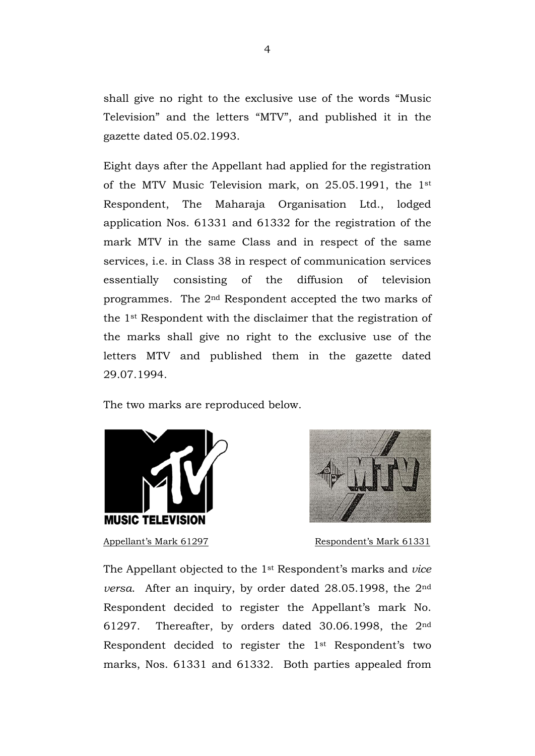shall give no right to the exclusive use of the words "Music Television" and the letters "MTV", and published it in the gazette dated 05.02.1993.

Eight days after the Appellant had applied for the registration of the MTV Music Television mark, on 25.05.1991, the 1st Respondent, The Maharaja Organisation Ltd., lodged application Nos. 61331 and 61332 for the registration of the mark MTV in the same Class and in respect of the same services, i.e. in Class 38 in respect of communication services essentially consisting of the diffusion of television programmes. The 2nd Respondent accepted the two marks of the 1st Respondent with the disclaimer that the registration of the marks shall give no right to the exclusive use of the letters MTV and published them in the gazette dated 29.07.1994.

The two marks are reproduced below.





Appellant's Mark 61297 Respondent's Mark 61331

The Appellant objected to the 1st Respondent's marks and *vice versa*. After an inquiry, by order dated 28.05.1998, the 2nd Respondent decided to register the Appellant's mark No. 61297. Thereafter, by orders dated 30.06.1998, the 2nd Respondent decided to register the 1st Respondent's two marks, Nos. 61331 and 61332. Both parties appealed from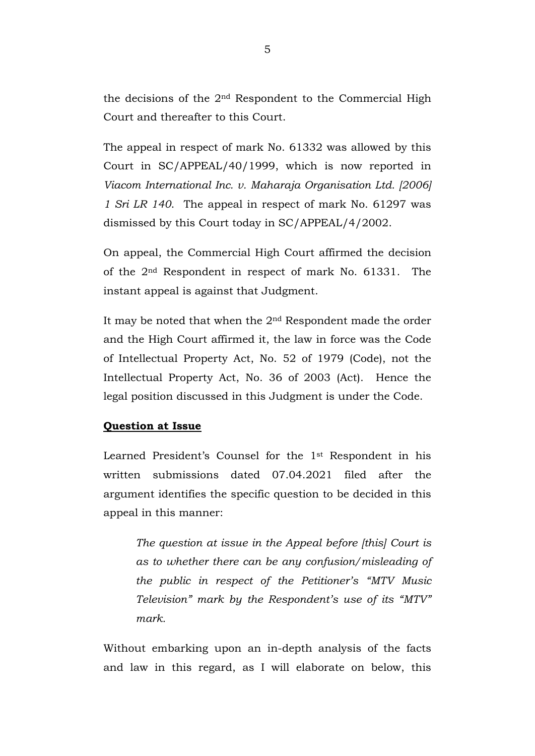the decisions of the 2nd Respondent to the Commercial High Court and thereafter to this Court.

The appeal in respect of mark No. 61332 was allowed by this Court in SC/APPEAL/40/1999, which is now reported in *Viacom International Inc. v. Maharaja Organisation Ltd. [2006] 1 Sri LR 140*. The appeal in respect of mark No. 61297 was dismissed by this Court today in SC/APPEAL/4/2002.

On appeal, the Commercial High Court affirmed the decision of the 2nd Respondent in respect of mark No. 61331. The instant appeal is against that Judgment.

It may be noted that when the 2nd Respondent made the order and the High Court affirmed it, the law in force was the Code of Intellectual Property Act, No. 52 of 1979 (Code), not the Intellectual Property Act, No. 36 of 2003 (Act). Hence the legal position discussed in this Judgment is under the Code.

#### **Question at Issue**

Learned President's Counsel for the 1st Respondent in his written submissions dated 07.04.2021 filed after the argument identifies the specific question to be decided in this appeal in this manner:

*The question at issue in the Appeal before [this] Court is as to whether there can be any confusion/misleading of the public in respect of the Petitioner's "MTV Music Television" mark by the Respondent's use of its "MTV" mark.*

Without embarking upon an in-depth analysis of the facts and law in this regard, as I will elaborate on below, this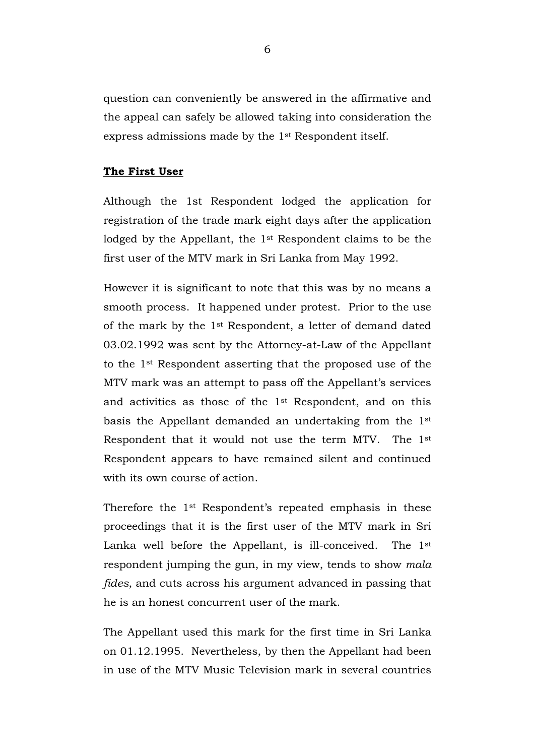question can conveniently be answered in the affirmative and the appeal can safely be allowed taking into consideration the express admissions made by the 1st Respondent itself.

#### **The First User**

Although the 1st Respondent lodged the application for registration of the trade mark eight days after the application lodged by the Appellant, the 1st Respondent claims to be the first user of the MTV mark in Sri Lanka from May 1992.

However it is significant to note that this was by no means a smooth process. It happened under protest. Prior to the use of the mark by the 1st Respondent, a letter of demand dated 03.02.1992 was sent by the Attorney-at-Law of the Appellant to the 1st Respondent asserting that the proposed use of the MTV mark was an attempt to pass off the Appellant's services and activities as those of the 1st Respondent, and on this basis the Appellant demanded an undertaking from the 1st Respondent that it would not use the term MTV. The 1st Respondent appears to have remained silent and continued with its own course of action.

Therefore the 1st Respondent's repeated emphasis in these proceedings that it is the first user of the MTV mark in Sri Lanka well before the Appellant, is ill-conceived. The 1st respondent jumping the gun, in my view, tends to show *mala fides*, and cuts across his argument advanced in passing that he is an honest concurrent user of the mark.

The Appellant used this mark for the first time in Sri Lanka on 01.12.1995. Nevertheless, by then the Appellant had been in use of the MTV Music Television mark in several countries

6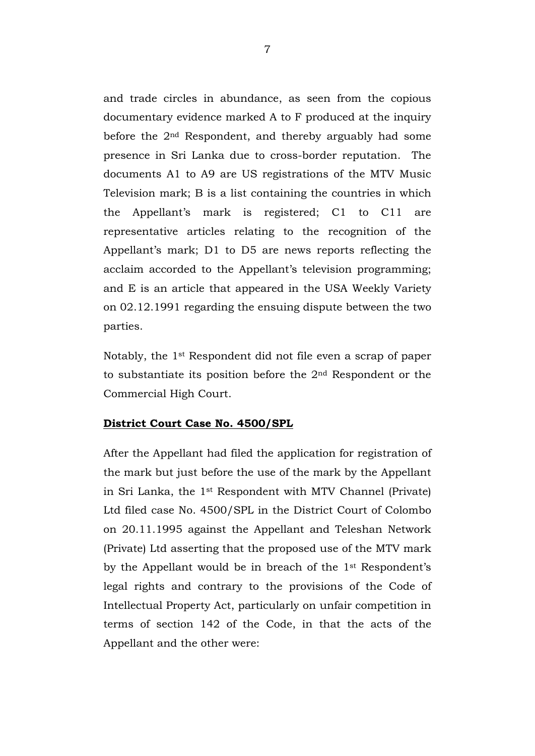and trade circles in abundance, as seen from the copious documentary evidence marked A to F produced at the inquiry before the 2nd Respondent, and thereby arguably had some presence in Sri Lanka due to cross-border reputation. The documents A1 to A9 are US registrations of the MTV Music Television mark; B is a list containing the countries in which the Appellant's mark is registered; C1 to C11 are representative articles relating to the recognition of the Appellant's mark; D1 to D5 are news reports reflecting the acclaim accorded to the Appellant's television programming; and E is an article that appeared in the USA Weekly Variety on 02.12.1991 regarding the ensuing dispute between the two parties.

Notably, the 1st Respondent did not file even a scrap of paper to substantiate its position before the 2nd Respondent or the Commercial High Court.

#### **District Court Case No. 4500/SPL**

After the Appellant had filed the application for registration of the mark but just before the use of the mark by the Appellant in Sri Lanka, the 1st Respondent with MTV Channel (Private) Ltd filed case No. 4500/SPL in the District Court of Colombo on 20.11.1995 against the Appellant and Teleshan Network (Private) Ltd asserting that the proposed use of the MTV mark by the Appellant would be in breach of the 1st Respondent's legal rights and contrary to the provisions of the Code of Intellectual Property Act, particularly on unfair competition in terms of section 142 of the Code, in that the acts of the Appellant and the other were: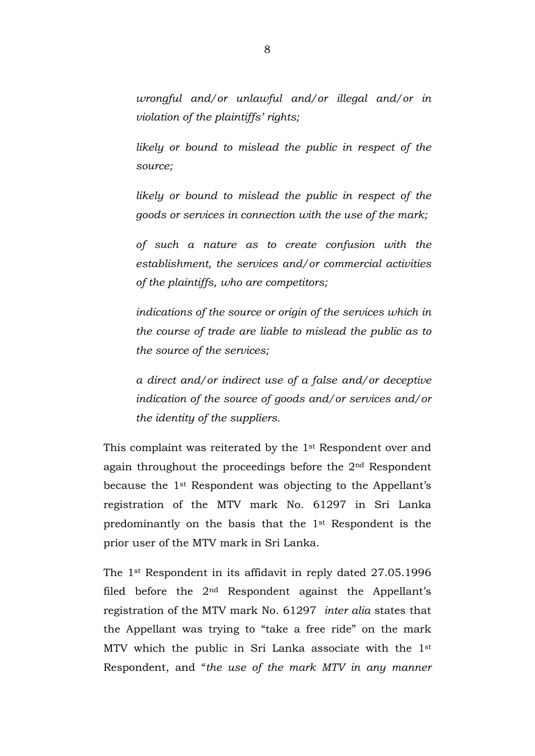*wrongful and/or unlawful and/or illegal and/or in violation of the plaintiffs' rights;* 

*likely or bound to mislead the public in respect of the source;* 

*likely or bound to mislead the public in respect of the goods or services in connection with the use of the mark;*

*of such a nature as to create confusion with the establishment, the services and/or commercial activities of the plaintiffs, who are competitors;* 

*indications of the source or origin of the services which in the course of trade are liable to mislead the public as to the source of the services;* 

*a direct and/or indirect use of a false and/or deceptive indication of the source of goods and/or services and/or the identity of the suppliers.*

This complaint was reiterated by the 1st Respondent over and again throughout the proceedings before the 2nd Respondent because the 1st Respondent was objecting to the Appellant's registration of the MTV mark No. 61297 in Sri Lanka predominantly on the basis that the 1st Respondent is the prior user of the MTV mark in Sri Lanka.

The 1st Respondent in its affidavit in reply dated 27.05.1996 filed before the  $2<sup>nd</sup>$  Respondent against the Appellant's registration of the MTV mark No. 61297 *inter alia* states that the Appellant was trying to "take a free ride" on the mark MTV which the public in Sri Lanka associate with the 1st Respondent, and "*the use of the mark MTV in any manner*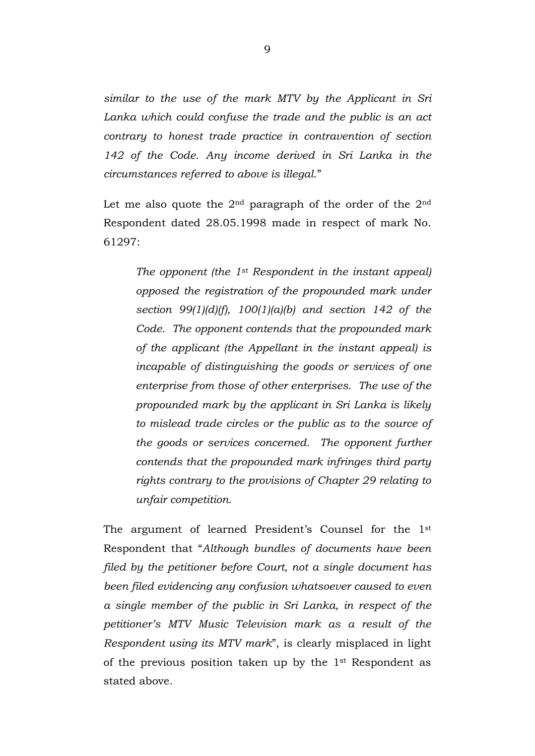*similar to the use of the mark MTV by the Applicant in Sri Lanka which could confuse the trade and the public is an act contrary to honest trade practice in contravention of section 142 of the Code. Any income derived in Sri Lanka in the circumstances referred to above is illegal*."

Let me also quote the  $2<sup>nd</sup>$  paragraph of the order of the  $2<sup>nd</sup>$ Respondent dated 28.05.1998 made in respect of mark No. 61297:

*The opponent (the 1st Respondent in the instant appeal) opposed the registration of the propounded mark under section 99(1)(d)(f), 100(1)(a)(b) and section 142 of the Code. The opponent contends that the propounded mark of the applicant (the Appellant in the instant appeal) is incapable of distinguishing the goods or services of one enterprise from those of other enterprises. The use of the propounded mark by the applicant in Sri Lanka is likely to mislead trade circles or the public as to the source of the goods or services concerned. The opponent further contends that the propounded mark infringes third party rights contrary to the provisions of Chapter 29 relating to unfair competition.*

The argument of learned President's Counsel for the 1st Respondent that "*Although bundles of documents have been filed by the petitioner before Court, not a single document has been filed evidencing any confusion whatsoever caused to even a single member of the public in Sri Lanka, in respect of the petitioner's MTV Music Television mark as a result of the Respondent using its MTV mark*", is clearly misplaced in light of the previous position taken up by the 1st Respondent as stated above.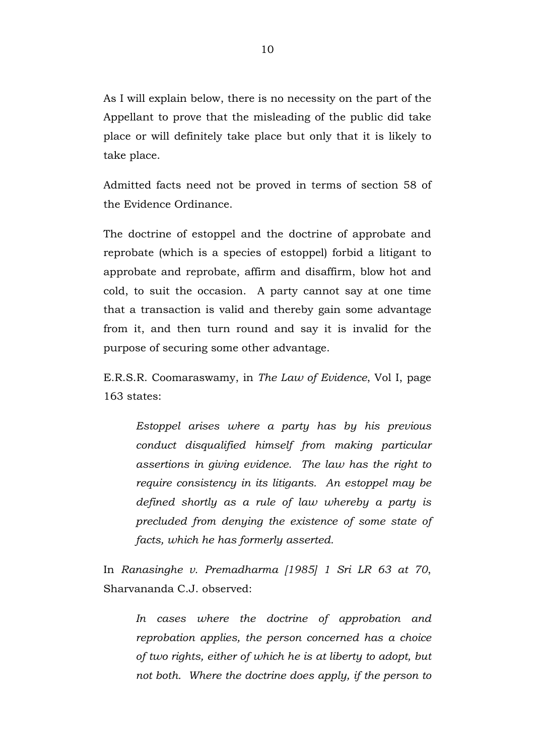As I will explain below, there is no necessity on the part of the Appellant to prove that the misleading of the public did take place or will definitely take place but only that it is likely to take place.

Admitted facts need not be proved in terms of section 58 of the Evidence Ordinance.

The doctrine of estoppel and the doctrine of approbate and reprobate (which is a species of estoppel) forbid a litigant to approbate and reprobate, affirm and disaffirm, blow hot and cold, to suit the occasion. A party cannot say at one time that a transaction is valid and thereby gain some advantage from it, and then turn round and say it is invalid for the purpose of securing some other advantage.

E.R.S.R. Coomaraswamy, in *The Law of Evidence*, Vol I, page 163 states:

*Estoppel arises where a party has by his previous conduct disqualified himself from making particular assertions in giving evidence. The law has the right to require consistency in its litigants. An estoppel may be defined shortly as a rule of law whereby a party is precluded from denying the existence of some state of facts, which he has formerly asserted.*

In *Ranasinghe v. Premadharma [1985] 1 Sri LR 63 at 70*, Sharvananda C.J. observed:

*In cases where the doctrine of approbation and reprobation applies, the person concerned has a choice of two rights, either of which he is at liberty to adopt, but not both. Where the doctrine does apply, if the person to*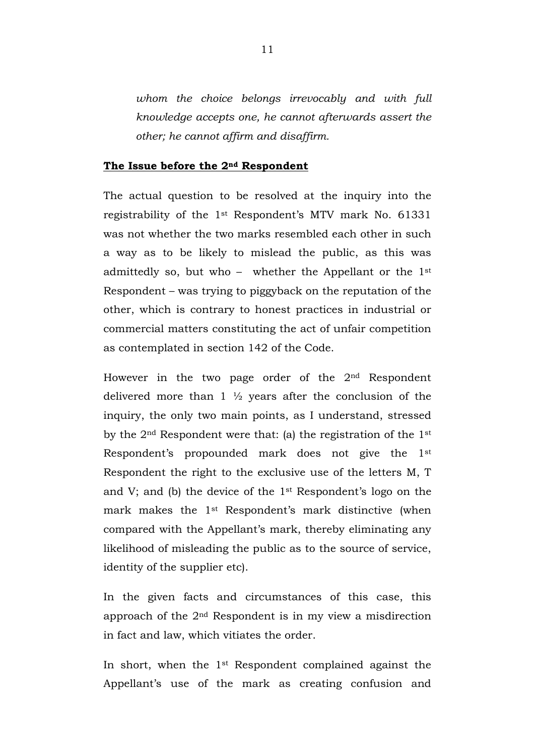*whom the choice belongs irrevocably and with full knowledge accepts one, he cannot afterwards assert the other; he cannot affirm and disaffirm.* 

#### **The Issue before the 2nd Respondent**

The actual question to be resolved at the inquiry into the registrability of the 1st Respondent's MTV mark No. 61331 was not whether the two marks resembled each other in such a way as to be likely to mislead the public, as this was admittedly so, but who - whether the Appellant or the  $1<sup>st</sup>$ Respondent – was trying to piggyback on the reputation of the other, which is contrary to honest practices in industrial or commercial matters constituting the act of unfair competition as contemplated in section 142 of the Code.

However in the two page order of the 2nd Respondent delivered more than  $1\frac{1}{2}$  years after the conclusion of the inquiry, the only two main points, as I understand, stressed by the 2nd Respondent were that: (a) the registration of the 1st Respondent's propounded mark does not give the 1st Respondent the right to the exclusive use of the letters M, T and V; and (b) the device of the 1st Respondent's logo on the mark makes the 1st Respondent's mark distinctive (when compared with the Appellant's mark, thereby eliminating any likelihood of misleading the public as to the source of service, identity of the supplier etc).

In the given facts and circumstances of this case, this approach of the 2nd Respondent is in my view a misdirection in fact and law, which vitiates the order.

In short, when the 1st Respondent complained against the Appellant's use of the mark as creating confusion and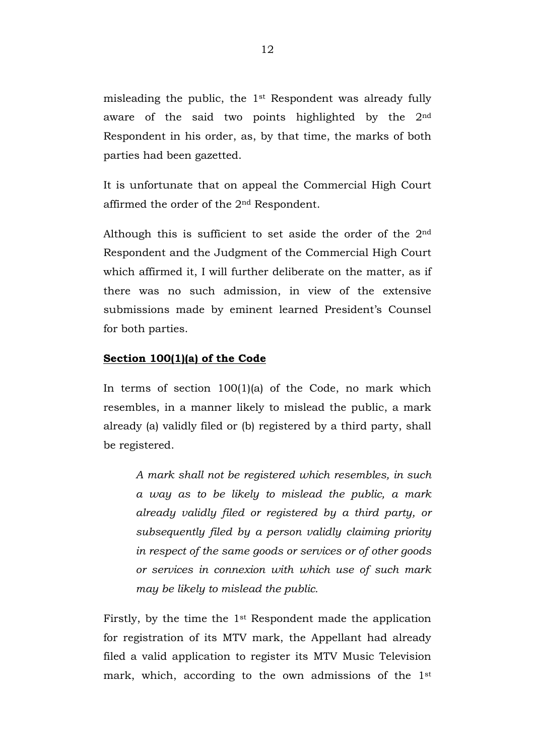misleading the public, the 1st Respondent was already fully aware of the said two points highlighted by the 2nd Respondent in his order, as, by that time, the marks of both parties had been gazetted.

It is unfortunate that on appeal the Commercial High Court affirmed the order of the 2nd Respondent.

Although this is sufficient to set aside the order of the 2nd Respondent and the Judgment of the Commercial High Court which affirmed it, I will further deliberate on the matter, as if there was no such admission, in view of the extensive submissions made by eminent learned President's Counsel for both parties.

#### **Section 100(1)(a) of the Code**

In terms of section 100(1)(a) of the Code, no mark which resembles, in a manner likely to mislead the public, a mark already (a) validly filed or (b) registered by a third party, shall be registered.

*A mark shall not be registered which resembles, in such a way as to be likely to mislead the public, a mark already validly filed or registered by a third party, or subsequently filed by a person validly claiming priority in respect of the same goods or services or of other goods or services in connexion with which use of such mark may be likely to mislead the public.*

Firstly, by the time the 1st Respondent made the application for registration of its MTV mark, the Appellant had already filed a valid application to register its MTV Music Television mark, which, according to the own admissions of the 1st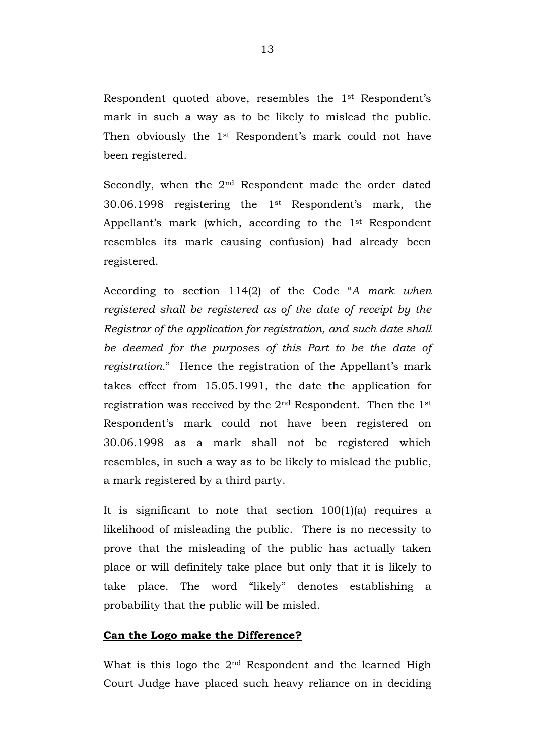Respondent quoted above, resembles the 1st Respondent's mark in such a way as to be likely to mislead the public. Then obviously the 1<sup>st</sup> Respondent's mark could not have been registered.

Secondly, when the 2nd Respondent made the order dated 30.06.1998 registering the 1st Respondent's mark, the Appellant's mark (which, according to the 1st Respondent resembles its mark causing confusion) had already been registered.

According to section 114(2) of the Code "*A mark when registered shall be registered as of the date of receipt by the Registrar of the application for registration, and such date shall be deemed for the purposes of this Part to be the date of registration.*" Hence the registration of the Appellant's mark takes effect from 15.05.1991, the date the application for registration was received by the 2nd Respondent. Then the 1st Respondent's mark could not have been registered on 30.06.1998 as a mark shall not be registered which resembles, in such a way as to be likely to mislead the public, a mark registered by a third party.

It is significant to note that section 100(1)(a) requires a likelihood of misleading the public. There is no necessity to prove that the misleading of the public has actually taken place or will definitely take place but only that it is likely to take place. The word "likely" denotes establishing a probability that the public will be misled.

#### **Can the Logo make the Difference?**

What is this logo the 2<sup>nd</sup> Respondent and the learned High Court Judge have placed such heavy reliance on in deciding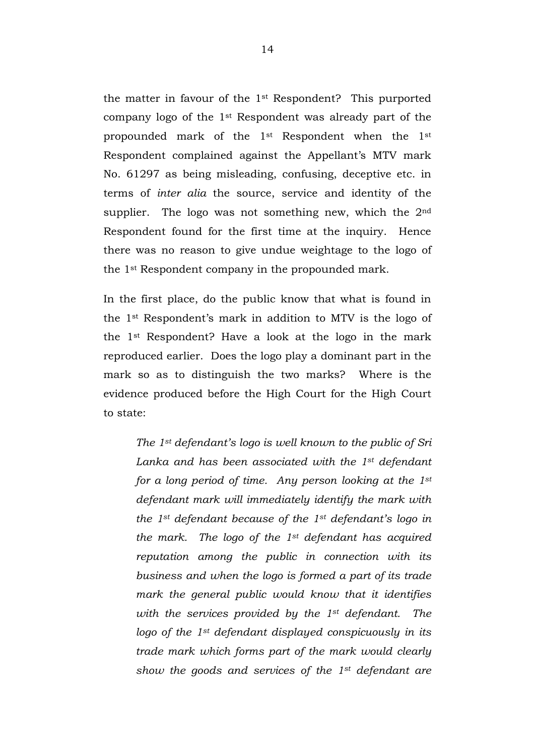the matter in favour of the 1st Respondent? This purported company logo of the 1st Respondent was already part of the propounded mark of the 1st Respondent when the 1st Respondent complained against the Appellant's MTV mark No. 61297 as being misleading, confusing, deceptive etc. in terms of *inter alia* the source, service and identity of the supplier. The logo was not something new, which the 2<sup>nd</sup> Respondent found for the first time at the inquiry. Hence there was no reason to give undue weightage to the logo of the 1st Respondent company in the propounded mark.

In the first place, do the public know that what is found in the 1st Respondent's mark in addition to MTV is the logo of the 1st Respondent? Have a look at the logo in the mark reproduced earlier. Does the logo play a dominant part in the mark so as to distinguish the two marks? Where is the evidence produced before the High Court for the High Court to state:

*The 1st defendant's logo is well known to the public of Sri Lanka and has been associated with the 1st defendant for a long period of time. Any person looking at the 1st defendant mark will immediately identify the mark with the 1st defendant because of the 1st defendant's logo in the mark. The logo of the 1st defendant has acquired reputation among the public in connection with its business and when the logo is formed a part of its trade mark the general public would know that it identifies with the services provided by the 1st defendant. The logo of the 1st defendant displayed conspicuously in its trade mark which forms part of the mark would clearly show the goods and services of the 1st defendant are*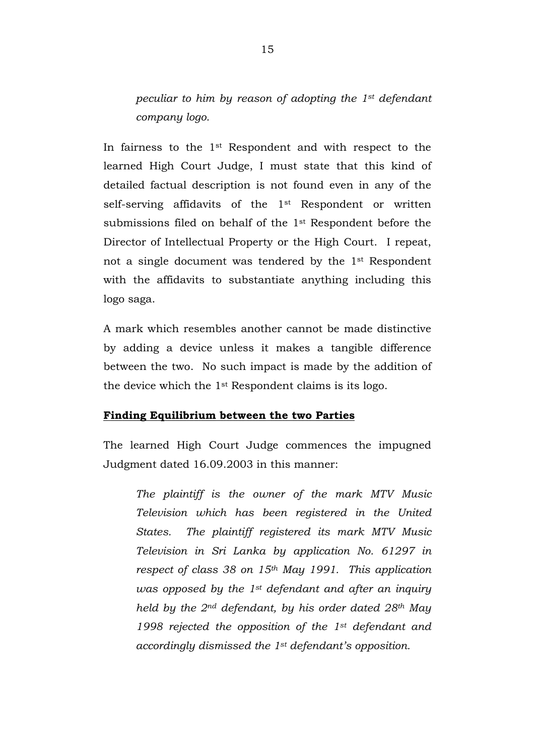*peculiar to him by reason of adopting the 1st defendant company logo.*

In fairness to the 1st Respondent and with respect to the learned High Court Judge, I must state that this kind of detailed factual description is not found even in any of the self-serving affidavits of the 1<sup>st</sup> Respondent or written submissions filed on behalf of the 1st Respondent before the Director of Intellectual Property or the High Court. I repeat, not a single document was tendered by the 1st Respondent with the affidavits to substantiate anything including this logo saga.

A mark which resembles another cannot be made distinctive by adding a device unless it makes a tangible difference between the two. No such impact is made by the addition of the device which the 1st Respondent claims is its logo.

# **Finding Equilibrium between the two Parties**

The learned High Court Judge commences the impugned Judgment dated 16.09.2003 in this manner:

*The plaintiff is the owner of the mark MTV Music Television which has been registered in the United States. The plaintiff registered its mark MTV Music Television in Sri Lanka by application No. 61297 in respect of class 38 on 15th May 1991. This application was opposed by the 1st defendant and after an inquiry held by the 2nd defendant, by his order dated 28th May 1998 rejected the opposition of the 1st defendant and accordingly dismissed the 1st defendant's opposition.*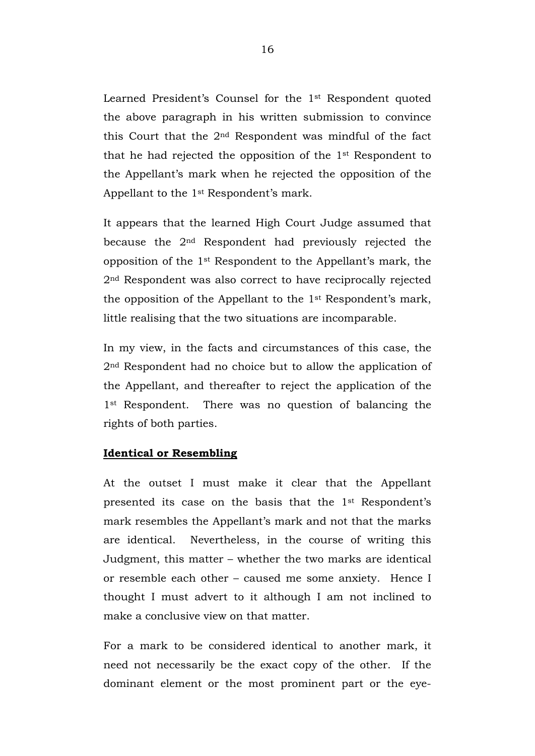Learned President's Counsel for the 1st Respondent quoted the above paragraph in his written submission to convince this Court that the 2nd Respondent was mindful of the fact that he had rejected the opposition of the 1st Respondent to the Appellant's mark when he rejected the opposition of the Appellant to the 1st Respondent's mark.

It appears that the learned High Court Judge assumed that because the 2nd Respondent had previously rejected the opposition of the 1st Respondent to the Appellant's mark, the 2nd Respondent was also correct to have reciprocally rejected the opposition of the Appellant to the 1st Respondent's mark, little realising that the two situations are incomparable.

In my view, in the facts and circumstances of this case, the 2nd Respondent had no choice but to allow the application of the Appellant, and thereafter to reject the application of the 1<sup>st</sup> Respondent. There was no question of balancing the rights of both parties.

#### **Identical or Resembling**

At the outset I must make it clear that the Appellant presented its case on the basis that the 1st Respondent's mark resembles the Appellant's mark and not that the marks are identical. Nevertheless, in the course of writing this Judgment, this matter – whether the two marks are identical or resemble each other – caused me some anxiety. Hence I thought I must advert to it although I am not inclined to make a conclusive view on that matter.

For a mark to be considered identical to another mark, it need not necessarily be the exact copy of the other. If the dominant element or the most prominent part or the eye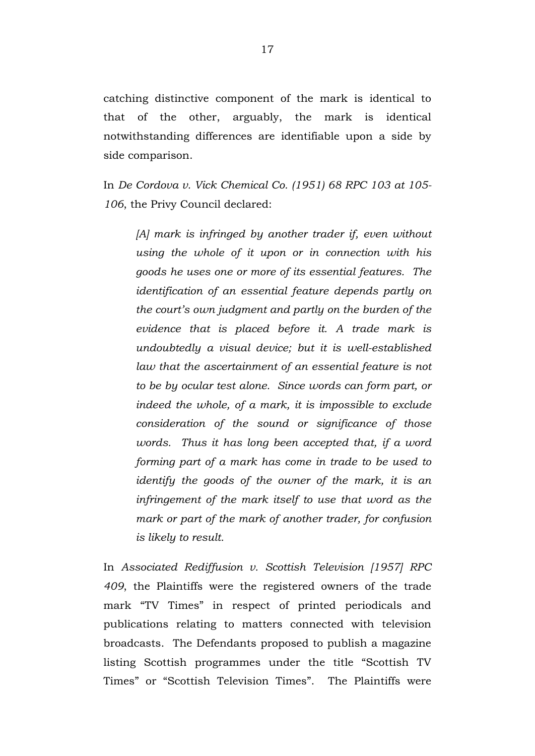catching distinctive component of the mark is identical to that of the other, arguably, the mark is identical notwithstanding differences are identifiable upon a side by side comparison.

In *De Cordova v. Vick Chemical Co. (1951) 68 RPC 103 at 105- 106*, the Privy Council declared:

*[A] mark is infringed by another trader if, even without using the whole of it upon or in connection with his goods he uses one or more of its essential features. The identification of an essential feature depends partly on the court's own judgment and partly on the burden of the evidence that is placed before it. A trade mark is undoubtedly a visual device; but it is well-established law that the ascertainment of an essential feature is not to be by ocular test alone. Since words can form part, or indeed the whole, of a mark, it is impossible to exclude consideration of the sound or significance of those words. Thus it has long been accepted that, if a word forming part of a mark has come in trade to be used to identify the goods of the owner of the mark, it is an infringement of the mark itself to use that word as the mark or part of the mark of another trader, for confusion is likely to result.*

In *Associated Rediffusion v. Scottish Television [1957] RPC 409*, the Plaintiffs were the registered owners of the trade mark "TV Times" in respect of printed periodicals and publications relating to matters connected with television broadcasts. The Defendants proposed to publish a magazine listing Scottish programmes under the title "Scottish TV Times" or "Scottish Television Times". The Plaintiffs were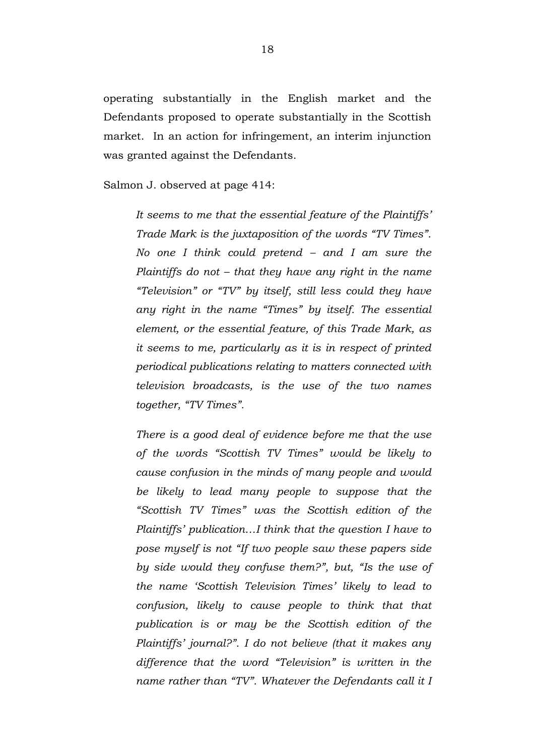operating substantially in the English market and the Defendants proposed to operate substantially in the Scottish market. In an action for infringement, an interim injunction was granted against the Defendants.

Salmon J. observed at page 414:

*It seems to me that the essential feature of the Plaintiffs' Trade Mark is the juxtaposition of the words "TV Times". No one I think could pretend – and I am sure the Plaintiffs do not – that they have any right in the name "Television" or "TV" by itself, still less could they have any right in the name "Times" by itself. The essential element, or the essential feature, of this Trade Mark, as it seems to me, particularly as it is in respect of printed periodical publications relating to matters connected with television broadcasts, is the use of the two names together, "TV Times".*

*There is a good deal of evidence before me that the use of the words "Scottish TV Times" would be likely to cause confusion in the minds of many people and would be likely to lead many people to suppose that the "Scottish TV Times" was the Scottish edition of the Plaintiffs' publication…I think that the question I have to pose myself is not "If two people saw these papers side by side would they confuse them?", but, "Is the use of the name 'Scottish Television Times' likely to lead to confusion, likely to cause people to think that that publication is or may be the Scottish edition of the Plaintiffs' journal?". I do not believe (that it makes any difference that the word "Television" is written in the name rather than "TV". Whatever the Defendants call it I*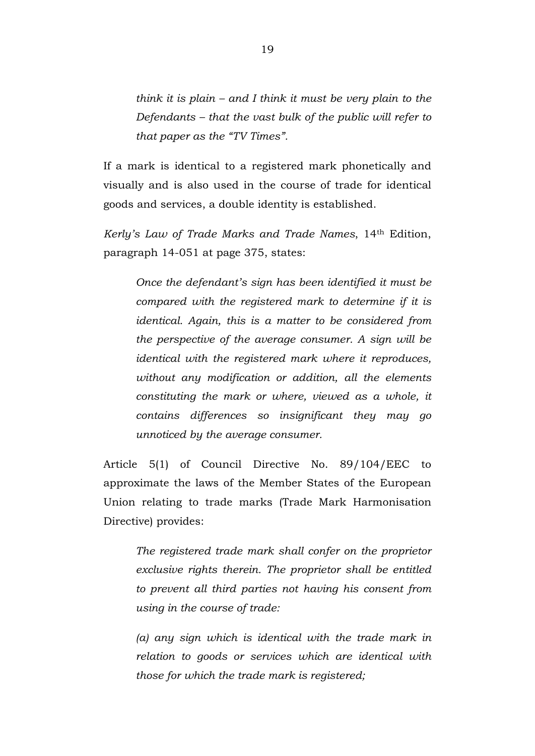*think it is plain – and I think it must be very plain to the Defendants – that the vast bulk of the public will refer to that paper as the "TV Times".* 

If a mark is identical to a registered mark phonetically and visually and is also used in the course of trade for identical goods and services, a double identity is established.

*Kerly's Law of Trade Marks and Trade Names*, 14th Edition, paragraph 14-051 at page 375, states:

*Once the defendant's sign has been identified it must be compared with the registered mark to determine if it is identical. Again, this is a matter to be considered from the perspective of the average consumer. A sign will be identical with the registered mark where it reproduces, without any modification or addition, all the elements constituting the mark or where, viewed as a whole, it contains differences so insignificant they may go unnoticed by the average consumer.*

Article 5(1) of Council Directive No. 89/104/EEC to approximate the laws of the Member States of the European Union relating to trade marks (Trade Mark Harmonisation Directive) provides:

*The registered trade mark shall confer on the proprietor exclusive rights therein. The proprietor shall be entitled to prevent all third parties not having his consent from using in the course of trade:*

*(a) any sign which is identical with the trade mark in relation to goods or services which are identical with those for which the trade mark is registered;*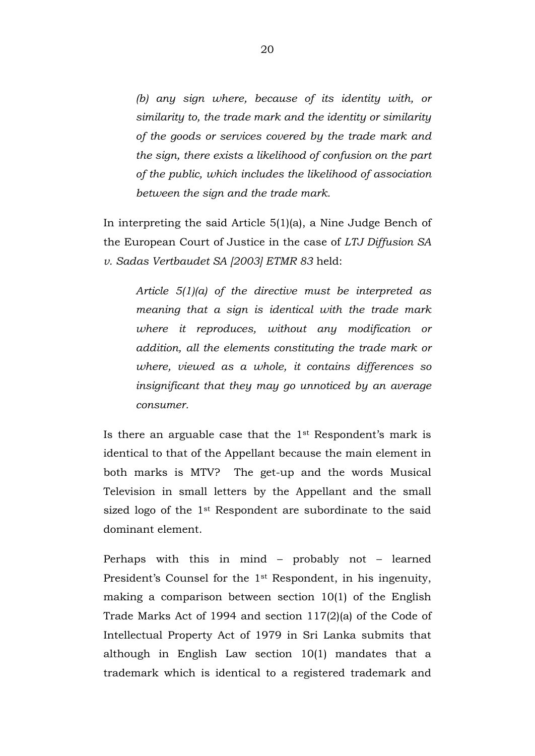*(b) any sign where, because of its identity with, or similarity to, the trade mark and the identity or similarity of the goods or services covered by the trade mark and the sign, there exists a likelihood of confusion on the part of the public, which includes the likelihood of association between the sign and the trade mark.*

In interpreting the said Article 5(1)(a), a Nine Judge Bench of the European Court of Justice in the case of *LTJ Diffusion SA v. Sadas Vertbaudet SA [2003] ETMR 83* held:

*Article 5(1)(a) of the directive must be interpreted as meaning that a sign is identical with the trade mark where it reproduces, without any modification or addition, all the elements constituting the trade mark or where, viewed as a whole, it contains differences so insignificant that they may go unnoticed by an average consumer.*

Is there an arguable case that the 1st Respondent's mark is identical to that of the Appellant because the main element in both marks is MTV? The get-up and the words Musical Television in small letters by the Appellant and the small sized logo of the 1st Respondent are subordinate to the said dominant element.

Perhaps with this in mind – probably not – learned President's Counsel for the 1st Respondent, in his ingenuity, making a comparison between section 10(1) of the English Trade Marks Act of 1994 and section 117(2)(a) of the Code of Intellectual Property Act of 1979 in Sri Lanka submits that although in English Law section 10(1) mandates that a trademark which is identical to a registered trademark and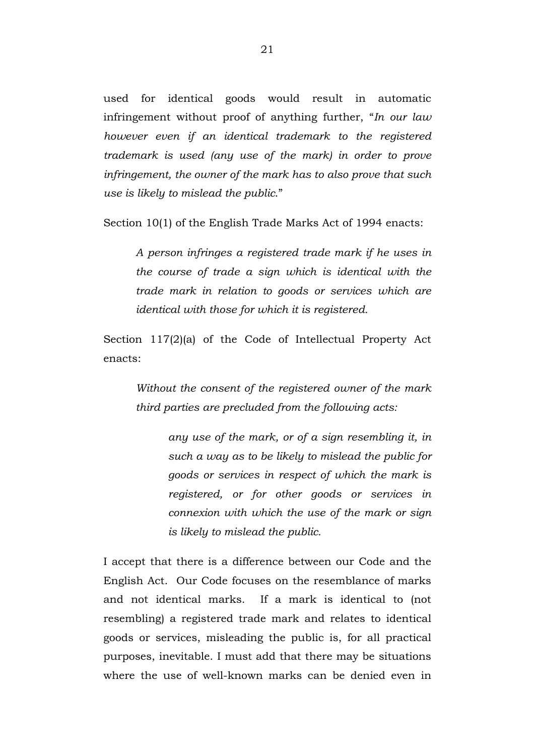used for identical goods would result in automatic infringement without proof of anything further, "*In our law however even if an identical trademark to the registered trademark is used (any use of the mark) in order to prove infringement, the owner of the mark has to also prove that such use is likely to mislead the public*."

Section 10(1) of the English Trade Marks Act of 1994 enacts:

*A person infringes a registered trade mark if he uses in the course of trade a sign which is identical with the trade mark in relation to goods or services which are identical with those for which it is registered.*

Section 117(2)(a) of the Code of Intellectual Property Act enacts:

*Without the consent of the registered owner of the mark third parties are precluded from the following acts:*

> *any use of the mark, or of a sign resembling it, in such a way as to be likely to mislead the public for goods or services in respect of which the mark is registered, or for other goods or services in connexion with which the use of the mark or sign is likely to mislead the public.*

I accept that there is a difference between our Code and the English Act. Our Code focuses on the resemblance of marks and not identical marks. If a mark is identical to (not resembling) a registered trade mark and relates to identical goods or services, misleading the public is, for all practical purposes, inevitable. I must add that there may be situations where the use of well-known marks can be denied even in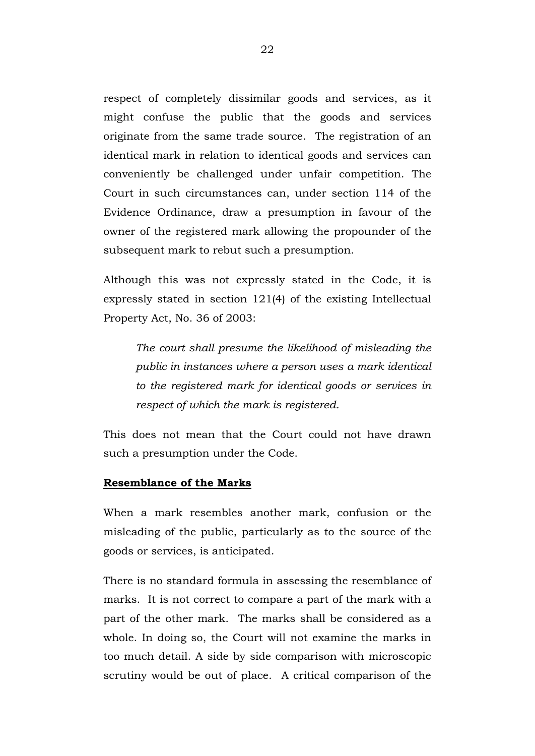respect of completely dissimilar goods and services, as it might confuse the public that the goods and services originate from the same trade source. The registration of an identical mark in relation to identical goods and services can conveniently be challenged under unfair competition. The Court in such circumstances can, under section 114 of the Evidence Ordinance, draw a presumption in favour of the owner of the registered mark allowing the propounder of the subsequent mark to rebut such a presumption.

Although this was not expressly stated in the Code, it is expressly stated in section 121(4) of the existing Intellectual Property Act, No. 36 of 2003:

*The court shall presume the likelihood of misleading the public in instances where a person uses a mark identical to the registered mark for identical goods or services in respect of which the mark is registered.*

This does not mean that the Court could not have drawn such a presumption under the Code.

#### **Resemblance of the Marks**

When a mark resembles another mark, confusion or the misleading of the public, particularly as to the source of the goods or services, is anticipated.

There is no standard formula in assessing the resemblance of marks. It is not correct to compare a part of the mark with a part of the other mark. The marks shall be considered as a whole. In doing so, the Court will not examine the marks in too much detail. A side by side comparison with microscopic scrutiny would be out of place. A critical comparison of the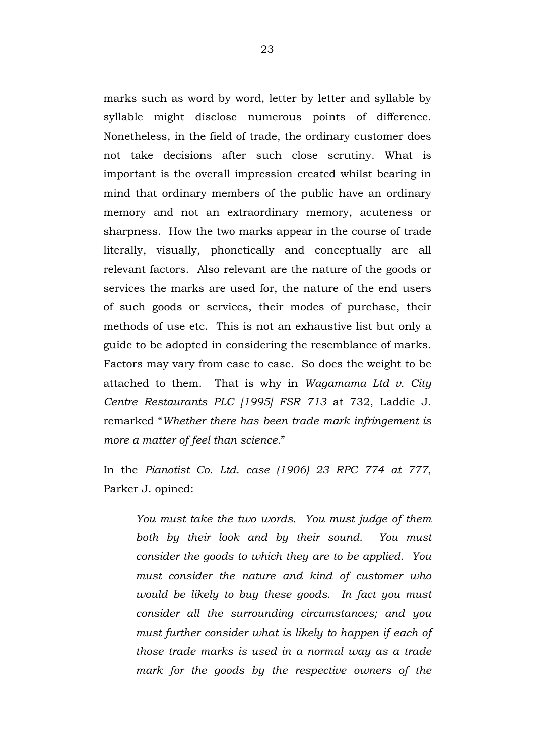marks such as word by word, letter by letter and syllable by syllable might disclose numerous points of difference. Nonetheless, in the field of trade, the ordinary customer does not take decisions after such close scrutiny. What is important is the overall impression created whilst bearing in mind that ordinary members of the public have an ordinary memory and not an extraordinary memory, acuteness or sharpness. How the two marks appear in the course of trade literally, visually, phonetically and conceptually are all relevant factors. Also relevant are the nature of the goods or services the marks are used for, the nature of the end users of such goods or services, their modes of purchase, their methods of use etc. This is not an exhaustive list but only a guide to be adopted in considering the resemblance of marks. Factors may vary from case to case. So does the weight to be attached to them. That is why in *Wagamama Ltd v. City Centre Restaurants PLC [1995] FSR 713* at 732, Laddie J. remarked "*Whether there has been trade mark infringement is more a matter of feel than science.*"

In the *Pianotist Co. Ltd. case (1906) 23 RPC 774 at 777*, Parker J. opined:

*You must take the two words. You must judge of them both by their look and by their sound. You must consider the goods to which they are to be applied. You must consider the nature and kind of customer who would be likely to buy these goods. In fact you must consider all the surrounding circumstances; and you must further consider what is likely to happen if each of those trade marks is used in a normal way as a trade mark for the goods by the respective owners of the*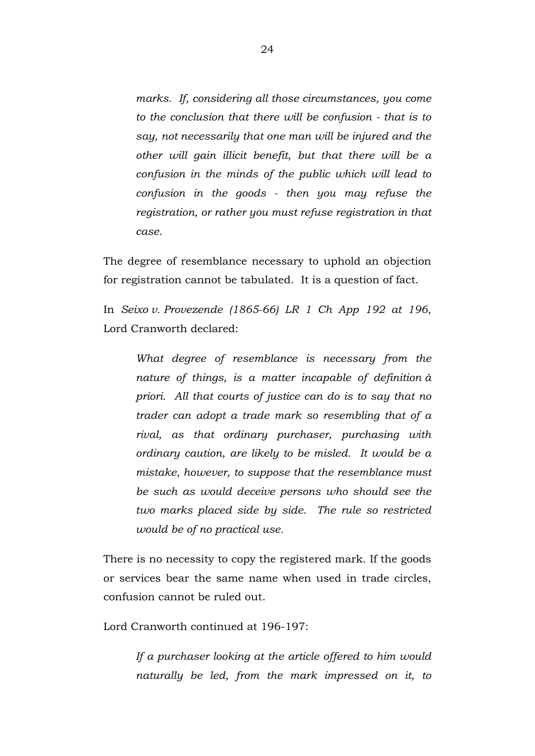*marks. If, considering all those circumstances, you come to the conclusion that there will be confusion - that is to say, not necessarily that one man will be injured and the other will gain illicit benefit, but that there will be a confusion in the minds of the public which will lead to confusion in the goods - then you may refuse the registration, or rather you must refuse registration in that case.*

The degree of resemblance necessary to uphold an objection for registration cannot be tabulated. It is a question of fact.

In *Seixo v. Provezende (1865-66) LR 1 Ch App 192 at 196*, Lord Cranworth declared:

*What degree of resemblance is necessary from the nature of things, is a matter incapable of definition à priori. All that courts of justice can do is to say that no trader can adopt a trade mark so resembling that of a rival, as that ordinary purchaser, purchasing with ordinary caution, are likely to be misled. It would be a mistake, however, to suppose that the resemblance must be such as would deceive persons who should see the two marks placed side by side. The rule so restricted would be of no practical use.*

There is no necessity to copy the registered mark. If the goods or services bear the same name when used in trade circles, confusion cannot be ruled out.

Lord Cranworth continued at 196-197:

*If a purchaser looking at the article offered to him would naturally be led, from the mark impressed on it, to*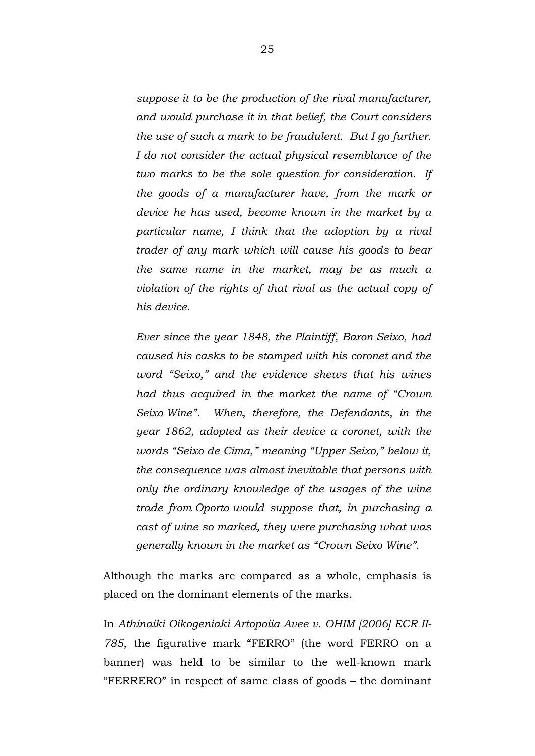*suppose it to be the production of the rival manufacturer, and would purchase it in that belief, the Court considers the use of such a mark to be fraudulent. But I go further. I do not consider the actual physical resemblance of the two marks to be the sole question for consideration. If the goods of a manufacturer have, from the mark or device he has used, become known in the market by a particular name, I think that the adoption by a rival trader of any mark which will cause his goods to bear the same name in the market, may be as much a violation of the rights of that rival as the actual copy of his device.* 

*Ever since the year 1848, the Plaintiff, Baron Seixo, had caused his casks to be stamped with his coronet and the word "Seixo," and the evidence shews that his wines had thus acquired in the market the name of "Crown Seixo Wine". When, therefore, the Defendants, in the year 1862, adopted as their device a coronet, with the words "Seixo de Cima," meaning "Upper Seixo," below it, the consequence was almost inevitable that persons with only the ordinary knowledge of the usages of the wine trade from Oporto would suppose that, in purchasing a cast of wine so marked, they were purchasing what was generally known in the market as "Crown Seixo Wine".*

Although the marks are compared as a whole, emphasis is placed on the dominant elements of the marks.

In *Athinaiki Oikogeniaki Artopoiia Avee v. OHIM [2006] ECR II-785*, the figurative mark "FERRO" (the word FERRO on a banner) was held to be similar to the well-known mark "FERRERO" in respect of same class of goods – the dominant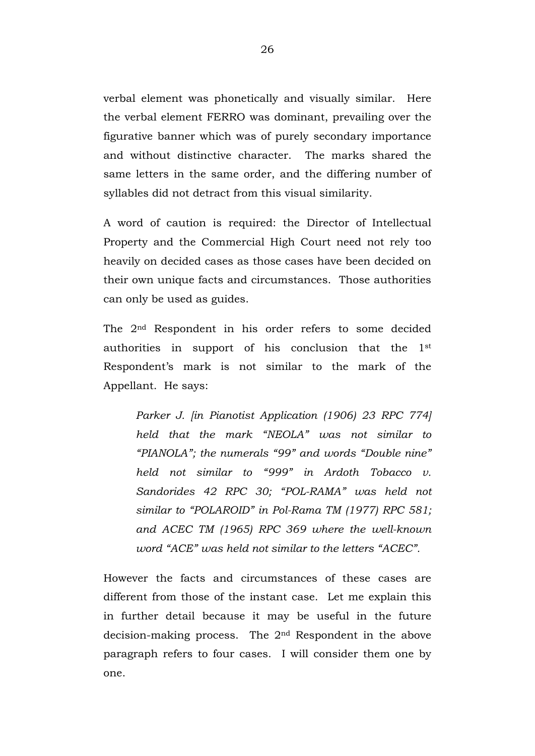verbal element was phonetically and visually similar. Here the verbal element FERRO was dominant, prevailing over the figurative banner which was of purely secondary importance and without distinctive character. The marks shared the same letters in the same order, and the differing number of syllables did not detract from this visual similarity.

A word of caution is required: the Director of Intellectual Property and the Commercial High Court need not rely too heavily on decided cases as those cases have been decided on their own unique facts and circumstances. Those authorities can only be used as guides.

The 2nd Respondent in his order refers to some decided authorities in support of his conclusion that the 1st Respondent's mark is not similar to the mark of the Appellant. He says:

*Parker J. [in Pianotist Application (1906) 23 RPC 774] held that the mark "NEOLA" was not similar to "PIANOLA"; the numerals "99" and words "Double nine" held not similar to "999" in Ardoth Tobacco v. Sandorides 42 RPC 30; "POL-RAMA" was held not similar to "POLAROID" in Pol-Rama TM (1977) RPC 581; and ACEC TM (1965) RPC 369 where the well-known word "ACE" was held not similar to the letters "ACEC".* 

However the facts and circumstances of these cases are different from those of the instant case. Let me explain this in further detail because it may be useful in the future decision-making process. The 2nd Respondent in the above paragraph refers to four cases. I will consider them one by one.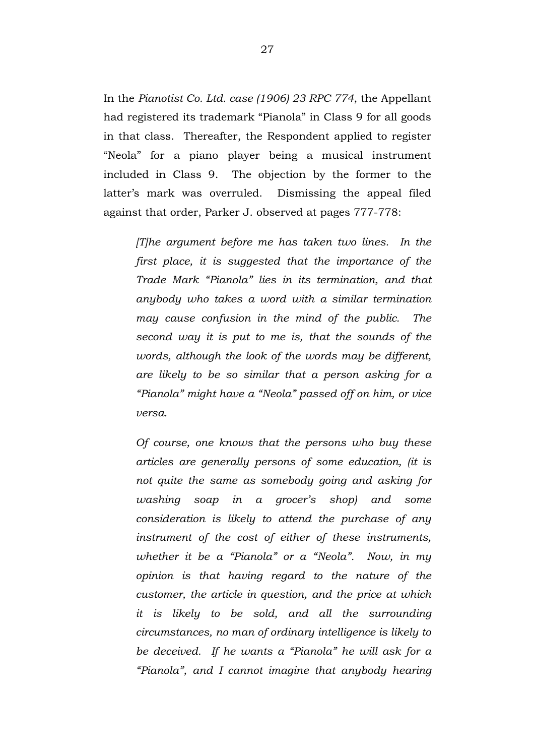In the *Pianotist Co. Ltd. case (1906) 23 RPC 774*, the Appellant had registered its trademark "Pianola" in Class 9 for all goods in that class. Thereafter, the Respondent applied to register "Neola" for a piano player being a musical instrument included in Class 9. The objection by the former to the latter's mark was overruled. Dismissing the appeal filed against that order, Parker J. observed at pages 777-778:

*[T]he argument before me has taken two lines. In the first place, it is suggested that the importance of the Trade Mark "Pianola" lies in its termination, and that anybody who takes a word with a similar termination may cause confusion in the mind of the public. The second way it is put to me is, that the sounds of the words, although the look of the words may be different, are likely to be so similar that a person asking for a "Pianola" might have a "Neola" passed off on him, or vice versa.* 

*Of course, one knows that the persons who buy these articles are generally persons of some education, (it is not quite the same as somebody going and asking for washing soap in a grocer's shop) and some consideration is likely to attend the purchase of any instrument of the cost of either of these instruments, whether it be a "Pianola" or a "Neola". Now, in my opinion is that having regard to the nature of the customer, the article in question, and the price at which it is likely to be sold, and all the surrounding circumstances, no man of ordinary intelligence is likely to be deceived. If he wants a "Pianola" he will ask for a "Pianola", and I cannot imagine that anybody hearing*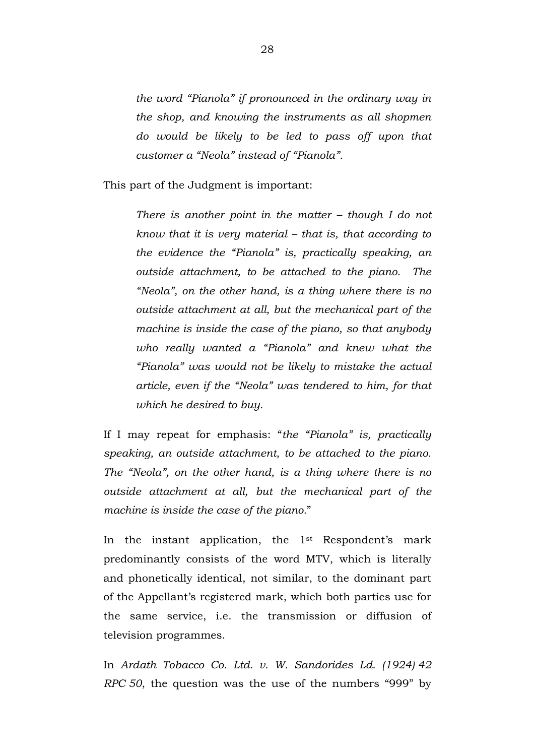*the word "Pianola" if pronounced in the ordinary way in the shop, and knowing the instruments as all shopmen do would be likely to be led to pass off upon that customer a "Neola" instead of "Pianola".*

This part of the Judgment is important:

*There is another point in the matter – though I do not know that it is very material – that is, that according to the evidence the "Pianola" is, practically speaking, an outside attachment, to be attached to the piano. The "Neola", on the other hand, is a thing where there is no outside attachment at all, but the mechanical part of the machine is inside the case of the piano, so that anybody who really wanted a "Pianola" and knew what the "Pianola" was would not be likely to mistake the actual article, even if the "Neola" was tendered to him, for that which he desired to buy.* 

If I may repeat for emphasis: "*the "Pianola" is, practically speaking, an outside attachment, to be attached to the piano. The "Neola", on the other hand, is a thing where there is no outside attachment at all, but the mechanical part of the machine is inside the case of the piano.*"

In the instant application, the  $1<sup>st</sup>$  Respondent's mark predominantly consists of the word MTV, which is literally and phonetically identical, not similar, to the dominant part of the Appellant's registered mark, which both parties use for the same service, i.e. the transmission or diffusion of television programmes.

In *Ardath Tobacco Co. Ltd. v. W. Sandorides Ld. (1924) 42 RPC 50*, the question was the use of the numbers "999" by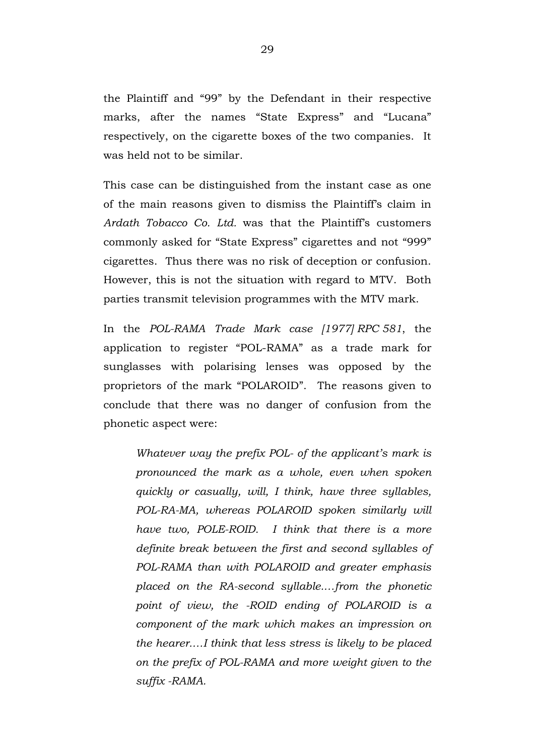the Plaintiff and "99" by the Defendant in their respective marks, after the names "State Express" and "Lucana" respectively, on the cigarette boxes of the two companies. It was held not to be similar.

This case can be distinguished from the instant case as one of the main reasons given to dismiss the Plaintiff's claim in *Ardath Tobacco Co. Ltd.* was that the Plaintiff's customers commonly asked for "State Express" cigarettes and not "999" cigarettes. Thus there was no risk of deception or confusion. However, this is not the situation with regard to MTV. Both parties transmit television programmes with the MTV mark.

In the *POL-RAMA Trade Mark case [1977] RPC 581*, the application to register "POL-RAMA" as a trade mark for sunglasses with polarising lenses was opposed by the proprietors of the mark "POLAROID". The reasons given to conclude that there was no danger of confusion from the phonetic aspect were:

*Whatever way the prefix POL- of the applicant's mark is pronounced the mark as a whole, even when spoken quickly or casually, will, I think, have three syllables, POL-RA-MA, whereas POLAROID spoken similarly will have two, POLE-ROID. I think that there is a more definite break between the first and second syllables of POL-RAMA than with POLAROID and greater emphasis placed on the RA-second syllable.…from the phonetic point of view, the -ROID ending of POLAROID is a component of the mark which makes an impression on the hearer.…I think that less stress is likely to be placed on the prefix of POL-RAMA and more weight given to the suffix -RAMA.*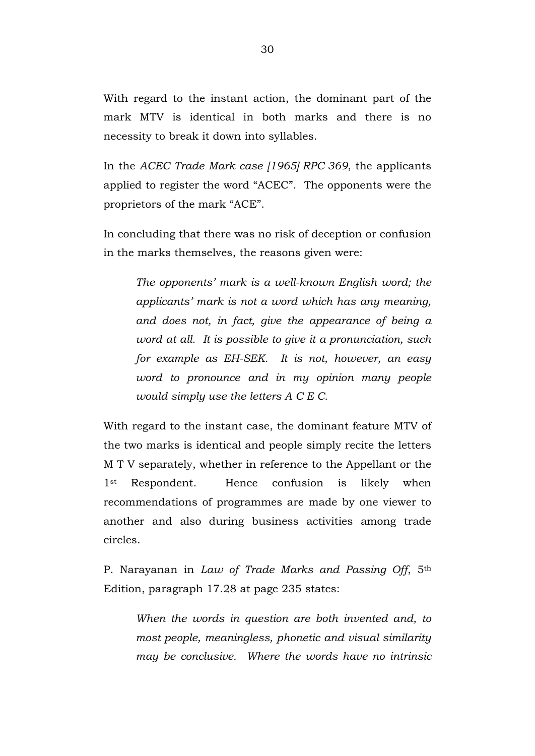With regard to the instant action, the dominant part of the mark MTV is identical in both marks and there is no necessity to break it down into syllables.

In the *ACEC Trade Mark case [1965] RPC 369*, the applicants applied to register the word "ACEC". The opponents were the proprietors of the mark "ACE".

In concluding that there was no risk of deception or confusion in the marks themselves, the reasons given were:

*The opponents' mark is a well-known English word; the applicants' mark is not a word which has any meaning, and does not, in fact, give the appearance of being a word at all. It is possible to give it a pronunciation, such for example as EH-SEK. It is not, however, an easy word to pronounce and in my opinion many people would simply use the letters A C E C.*

With regard to the instant case, the dominant feature MTV of the two marks is identical and people simply recite the letters M T V separately, whether in reference to the Appellant or the 1<sup>st</sup> Respondent. Hence confusion is likely when recommendations of programmes are made by one viewer to another and also during business activities among trade circles.

P. Narayanan in *Law of Trade Marks and Passing Off*, 5th Edition, paragraph 17.28 at page 235 states:

*When the words in question are both invented and, to most people, meaningless, phonetic and visual similarity may be conclusive. Where the words have no intrinsic*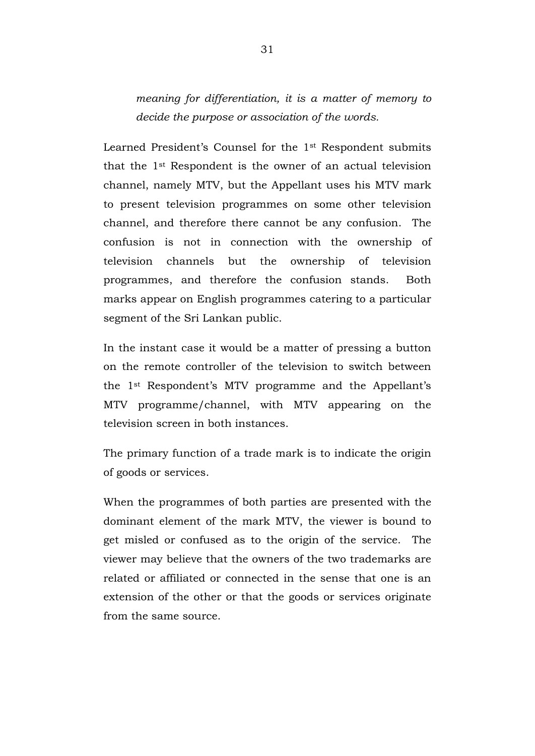*meaning for differentiation, it is a matter of memory to decide the purpose or association of the words.*

Learned President's Counsel for the 1st Respondent submits that the 1st Respondent is the owner of an actual television channel, namely MTV, but the Appellant uses his MTV mark to present television programmes on some other television channel, and therefore there cannot be any confusion. The confusion is not in connection with the ownership of television channels but the ownership of television programmes, and therefore the confusion stands. Both marks appear on English programmes catering to a particular segment of the Sri Lankan public.

In the instant case it would be a matter of pressing a button on the remote controller of the television to switch between the 1st Respondent's MTV programme and the Appellant's MTV programme/channel, with MTV appearing on the television screen in both instances.

The primary function of a trade mark is to indicate the origin of goods or services.

When the programmes of both parties are presented with the dominant element of the mark MTV, the viewer is bound to get misled or confused as to the origin of the service. The viewer may believe that the owners of the two trademarks are related or affiliated or connected in the sense that one is an extension of the other or that the goods or services originate from the same source.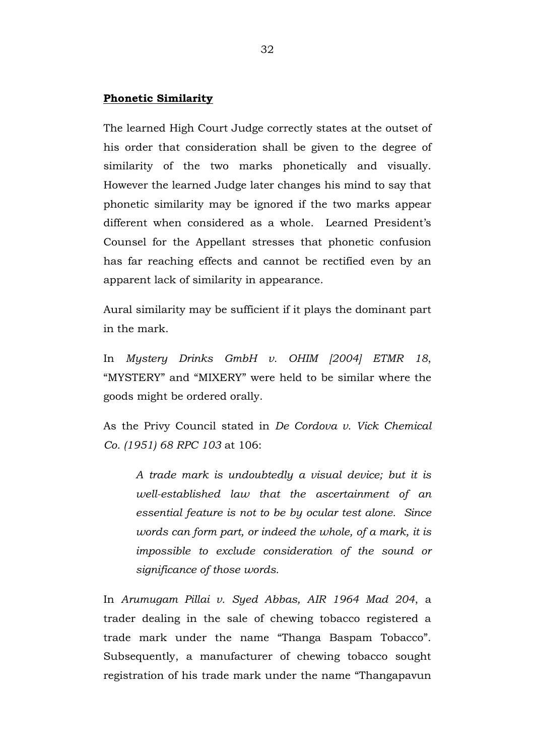#### **Phonetic Similarity**

The learned High Court Judge correctly states at the outset of his order that consideration shall be given to the degree of similarity of the two marks phonetically and visually. However the learned Judge later changes his mind to say that phonetic similarity may be ignored if the two marks appear different when considered as a whole. Learned President's Counsel for the Appellant stresses that phonetic confusion has far reaching effects and cannot be rectified even by an apparent lack of similarity in appearance.

Aural similarity may be sufficient if it plays the dominant part in the mark.

In *Mystery Drinks GmbH v. OHIM [2004] ETMR 18*, "MYSTERY" and "MIXERY" were held to be similar where the goods might be ordered orally.

As the Privy Council stated in *De Cordova v. Vick Chemical Co. (1951) 68 RPC 103* at 106:

*A trade mark is undoubtedly a visual device; but it is well-established law that the ascertainment of an essential feature is not to be by ocular test alone. Since words can form part, or indeed the whole, of a mark, it is impossible to exclude consideration of the sound or significance of those words.*

In *Arumugam Pillai v. Syed Abbas, AIR 1964 Mad 204*, a trader dealing in the sale of chewing tobacco registered a trade mark under the name "Thanga Baspam Tobacco". Subsequently, a manufacturer of chewing tobacco sought registration of his trade mark under the name "Thangapavun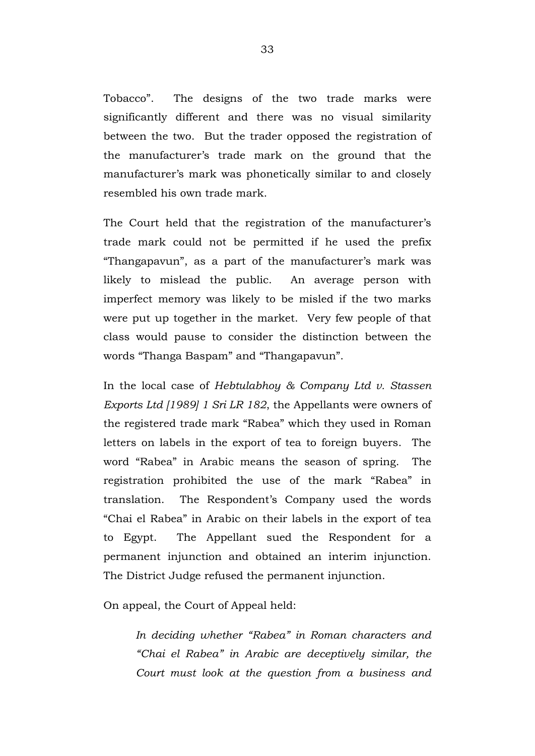Tobacco". The designs of the two trade marks were significantly different and there was no visual similarity between the two. But the trader opposed the registration of the manufacturer's trade mark on the ground that the manufacturer's mark was phonetically similar to and closely resembled his own trade mark.

The Court held that the registration of the manufacturer's trade mark could not be permitted if he used the prefix "Thangapavun", as a part of the manufacturer's mark was likely to mislead the public. An average person with imperfect memory was likely to be misled if the two marks were put up together in the market. Very few people of that class would pause to consider the distinction between the words "Thanga Baspam" and "Thangapavun".

In the local case of *Hebtulabhoy & Company Ltd v. Stassen Exports Ltd [1989] 1 Sri LR 182*, the Appellants were owners of the registered trade mark "Rabea" which they used in Roman letters on labels in the export of tea to foreign buyers. The word "Rabea" in Arabic means the season of spring. The registration prohibited the use of the mark "Rabea" in translation. The Respondent's Company used the words "Chai el Rabea" in Arabic on their labels in the export of tea to Egypt. The Appellant sued the Respondent for a permanent injunction and obtained an interim injunction. The District Judge refused the permanent injunction.

On appeal, the Court of Appeal held:

*In deciding whether "Rabea" in Roman characters and "Chai el Rabea" in Arabic are deceptively similar, the Court must look at the question from a business and*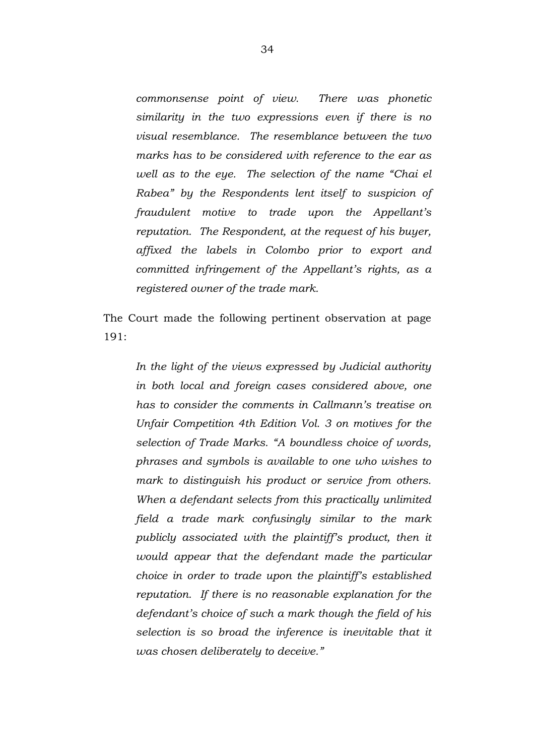*commonsense point of view. There was phonetic similarity in the two expressions even if there is no visual resemblance. The resemblance between the two marks has to be considered with reference to the ear as well as to the eye. The selection of the name "Chai el Rabea" by the Respondents lent itself to suspicion of fraudulent motive to trade upon the Appellant's reputation. The Respondent, at the request of his buyer, affixed the labels in Colombo prior to export and committed infringement of the Appellant's rights, as a registered owner of the trade mark.*

The Court made the following pertinent observation at page 191:

*In the light of the views expressed by Judicial authority in both local and foreign cases considered above, one has to consider the comments in Callmann's treatise on Unfair Competition 4th Edition Vol. 3 on motives for the selection of Trade Marks. "A boundless choice of words, phrases and symbols is available to one who wishes to mark to distinguish his product or service from others. When a defendant selects from this practically unlimited field a trade mark confusingly similar to the mark publicly associated with the plaintiff's product, then it would appear that the defendant made the particular choice in order to trade upon the plaintiff's established reputation. If there is no reasonable explanation for the defendant's choice of such a mark though the field of his selection is so broad the inference is inevitable that it was chosen deliberately to deceive."*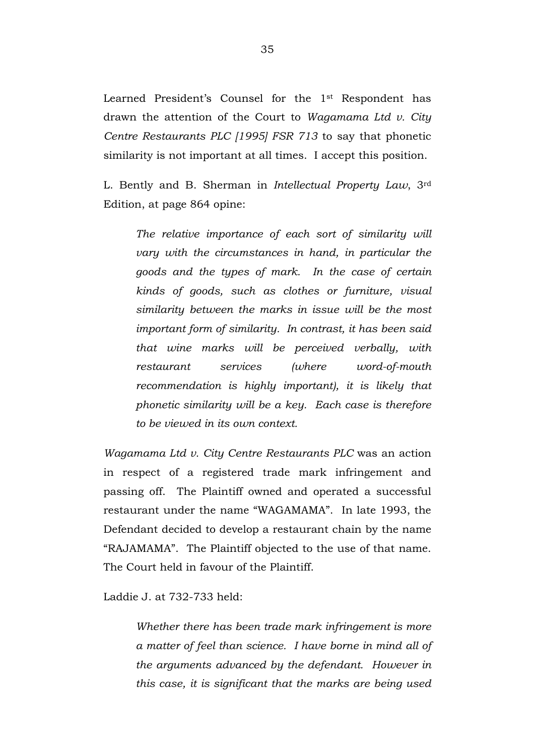Learned President's Counsel for the 1st Respondent has drawn the attention of the Court to *Wagamama Ltd v. City Centre Restaurants PLC [1995] FSR 713* to say that phonetic similarity is not important at all times. I accept this position.

L. Bently and B. Sherman in *Intellectual Property Law*, 3rd Edition, at page 864 opine:

*The relative importance of each sort of similarity will vary with the circumstances in hand, in particular the goods and the types of mark. In the case of certain kinds of goods, such as clothes or furniture, visual similarity between the marks in issue will be the most important form of similarity. In contrast, it has been said that wine marks will be perceived verbally, with restaurant services (where word-of-mouth recommendation is highly important), it is likely that phonetic similarity will be a key. Each case is therefore to be viewed in its own context.* 

*Wagamama Ltd v. City Centre Restaurants PLC* was an action in respect of a registered trade mark infringement and passing off. The Plaintiff owned and operated a successful restaurant under the name "WAGAMAMA". In late 1993, the Defendant decided to develop a restaurant chain by the name "RAJAMAMA". The Plaintiff objected to the use of that name. The Court held in favour of the Plaintiff.

Laddie J. at 732-733 held:

*Whether there has been trade mark infringement is more a matter of feel than science. I have borne in mind all of the arguments advanced by the defendant. However in this case, it is significant that the marks are being used*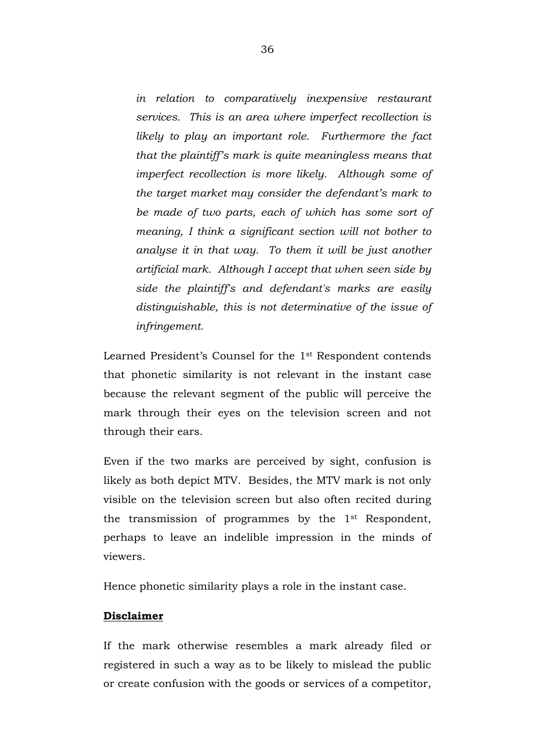*in relation to comparatively inexpensive restaurant services. This is an area where imperfect recollection is likely to play an important role. Furthermore the fact that the plaintiff's mark is quite meaningless means that imperfect recollection is more likely. Although some of the target market may consider the defendant's mark to be made of two parts, each of which has some sort of meaning, I think a significant section will not bother to analyse it in that way. To them it will be just another artificial mark. Although I accept that when seen side by side the plaintiff's and defendant's marks are easily distinguishable, this is not determinative of the issue of infringement.* 

Learned President's Counsel for the 1st Respondent contends that phonetic similarity is not relevant in the instant case because the relevant segment of the public will perceive the mark through their eyes on the television screen and not through their ears.

Even if the two marks are perceived by sight, confusion is likely as both depict MTV. Besides, the MTV mark is not only visible on the television screen but also often recited during the transmission of programmes by the 1st Respondent, perhaps to leave an indelible impression in the minds of viewers.

Hence phonetic similarity plays a role in the instant case.

# **Disclaimer**

If the mark otherwise resembles a mark already filed or registered in such a way as to be likely to mislead the public or create confusion with the goods or services of a competitor,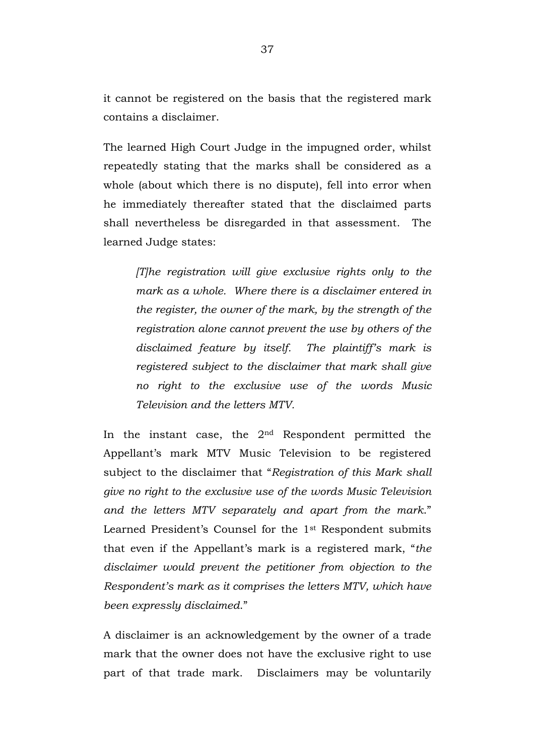it cannot be registered on the basis that the registered mark contains a disclaimer.

The learned High Court Judge in the impugned order, whilst repeatedly stating that the marks shall be considered as a whole (about which there is no dispute), fell into error when he immediately thereafter stated that the disclaimed parts shall nevertheless be disregarded in that assessment. The learned Judge states:

*[T]he registration will give exclusive rights only to the mark as a whole. Where there is a disclaimer entered in the register, the owner of the mark, by the strength of the registration alone cannot prevent the use by others of the disclaimed feature by itself. The plaintiff's mark is registered subject to the disclaimer that mark shall give no right to the exclusive use of the words Music Television and the letters MTV.*

In the instant case, the  $2<sup>nd</sup>$  Respondent permitted the Appellant's mark MTV Music Television to be registered subject to the disclaimer that "*Registration of this Mark shall give no right to the exclusive use of the words Music Television and the letters MTV separately and apart from the mark*." Learned President's Counsel for the 1st Respondent submits that even if the Appellant's mark is a registered mark, "*the disclaimer would prevent the petitioner from objection to the Respondent's mark as it comprises the letters MTV, which have been expressly disclaimed*."

A disclaimer is an acknowledgement by the owner of a trade mark that the owner does not have the exclusive right to use part of that trade mark. Disclaimers may be voluntarily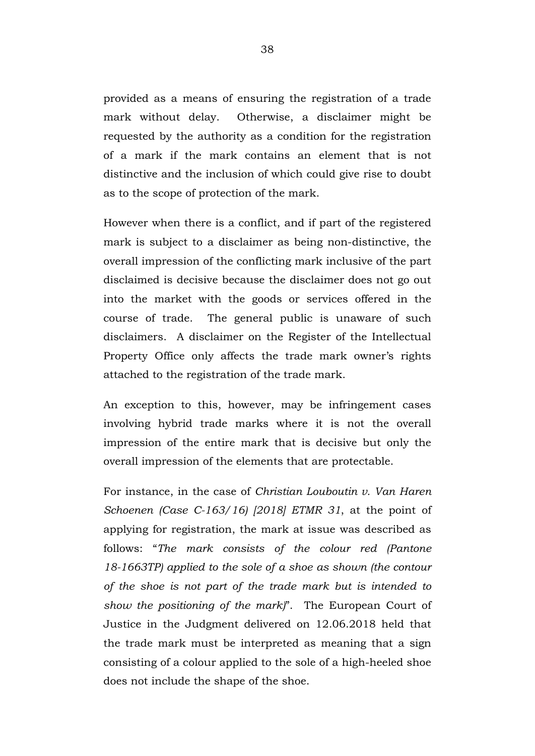provided as a means of ensuring the registration of a trade mark without delay. Otherwise, a disclaimer might be requested by the authority as a condition for the registration of a mark if the mark contains an element that is not distinctive and the inclusion of which could give rise to doubt as to the scope of protection of the mark.

However when there is a conflict, and if part of the registered mark is subject to a disclaimer as being non-distinctive, the overall impression of the conflicting mark inclusive of the part disclaimed is decisive because the disclaimer does not go out into the market with the goods or services offered in the course of trade. The general public is unaware of such disclaimers. A disclaimer on the Register of the Intellectual Property Office only affects the trade mark owner's rights attached to the registration of the trade mark.

An exception to this, however, may be infringement cases involving hybrid trade marks where it is not the overall impression of the entire mark that is decisive but only the overall impression of the elements that are protectable.

For instance, in the case of *Christian Louboutin v. Van Haren Schoenen (Case C-163/16) [2018] ETMR 31*, at the point of applying for registration, the mark at issue was described as follows: "*The mark consists of the colour red (Pantone 18-1663TP) applied to the sole of a shoe as shown (the contour of the shoe is not part of the trade mark but is intended to show the positioning of the mark)*". The European Court of Justice in the Judgment delivered on 12.06.2018 held that the trade mark must be interpreted as meaning that a sign consisting of a colour applied to the sole of a high-heeled shoe does not include the shape of the shoe.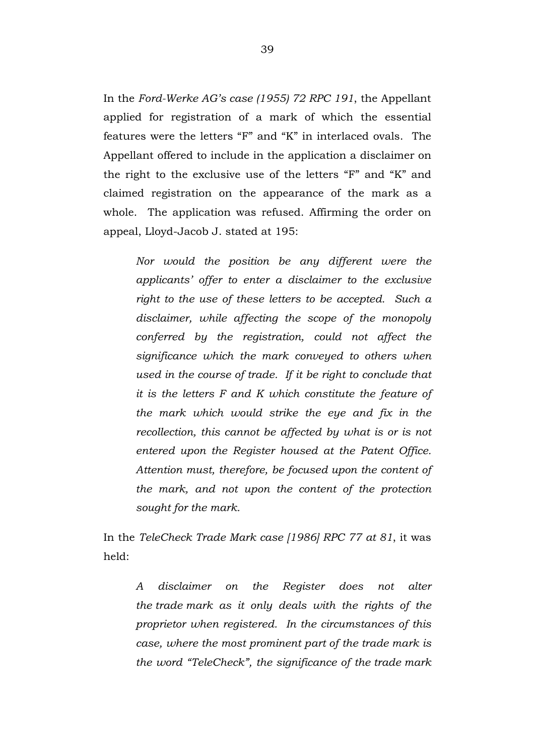In the *Ford-Werke AG's case (1955) 72 RPC 191*, the Appellant applied for registration of a mark of which the essential features were the letters "F" and "K" in interlaced ovals. The Appellant offered to include in the application a disclaimer on the right to the exclusive use of the letters "F" and "K" and claimed registration on the appearance of the mark as a whole. The application was refused. Affirming the order on appeal, Lloyd-Jacob J. stated at 195:

*Nor would the position be any different were the applicants' offer to enter a disclaimer to the exclusive right to the use of these letters to be accepted. Such a disclaimer, while affecting the scope of the monopoly conferred by the registration, could not affect the significance which the mark conveyed to others when used in the course of trade. If it be right to conclude that it is the letters F and K which constitute the feature of the mark which would strike the eye and fix in the recollection, this cannot be affected by what is or is not entered upon the Register housed at the Patent Office. Attention must, therefore, be focused upon the content of the mark, and not upon the content of the protection sought for the mark.*

In the *TeleCheck Trade Mark case [1986] RPC 77 at 81*, it was held:

*A disclaimer on the Register does not alter the trade mark as it only deals with the rights of the proprietor when registered. In the circumstances of this case, where the most prominent part of the trade mark is the word "TeleCheck", the significance of the trade mark*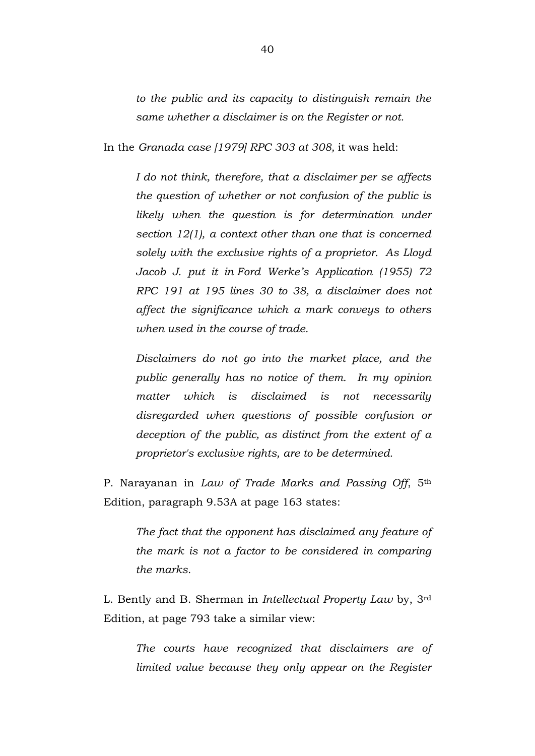*to the public and its capacity to distinguish remain the same whether a disclaimer is on the Register or not.* 

In the *Granada case [1979] RPC 303 at 308,* it was held:

*I do not think, therefore, that a disclaimer per se affects the question of whether or not confusion of the public is likely when the question is for determination under section 12(1), a context other than one that is concerned solely with the exclusive rights of a proprietor. As Lloyd Jacob J. put it in Ford Werke's Application (1955) 72 RPC 191 at 195 lines 30 to 38, a disclaimer does not affect the significance which a mark conveys to others when used in the course of trade.*

*Disclaimers do not go into the market place, and the public generally has no notice of them. In my opinion matter which is disclaimed is not necessarily disregarded when questions of possible confusion or deception of the public, as distinct from the extent of a proprietor's exclusive rights, are to be determined.*

P. Narayanan in *Law of Trade Marks and Passing Off*, 5th Edition, paragraph 9.53A at page 163 states:

*The fact that the opponent has disclaimed any feature of the mark is not a factor to be considered in comparing the marks.*

L. Bently and B. Sherman in *Intellectual Property Law* by, 3rd Edition, at page 793 take a similar view:

*The courts have recognized that disclaimers are of limited value because they only appear on the Register*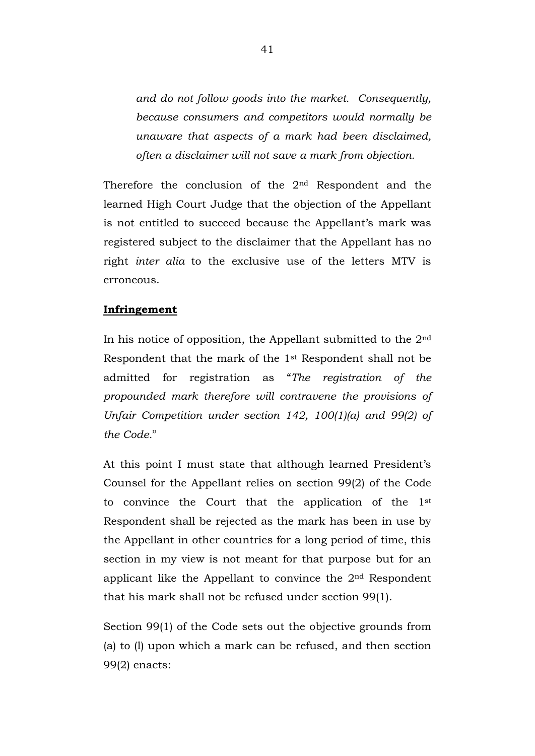*and do not follow goods into the market. Consequently, because consumers and competitors would normally be unaware that aspects of a mark had been disclaimed, often a disclaimer will not save a mark from objection.*

Therefore the conclusion of the 2nd Respondent and the learned High Court Judge that the objection of the Appellant is not entitled to succeed because the Appellant's mark was registered subject to the disclaimer that the Appellant has no right *inter alia* to the exclusive use of the letters MTV is erroneous.

# **Infringement**

In his notice of opposition, the Appellant submitted to the  $2<sup>nd</sup>$ Respondent that the mark of the 1st Respondent shall not be admitted for registration as "*The registration of the propounded mark therefore will contravene the provisions of Unfair Competition under section 142, 100(1)(a) and 99(2) of the Code.*"

At this point I must state that although learned President's Counsel for the Appellant relies on section 99(2) of the Code to convince the Court that the application of the 1st Respondent shall be rejected as the mark has been in use by the Appellant in other countries for a long period of time, this section in my view is not meant for that purpose but for an applicant like the Appellant to convince the 2nd Respondent that his mark shall not be refused under section 99(1).

Section 99(1) of the Code sets out the objective grounds from (a) to (l) upon which a mark can be refused, and then section 99(2) enacts: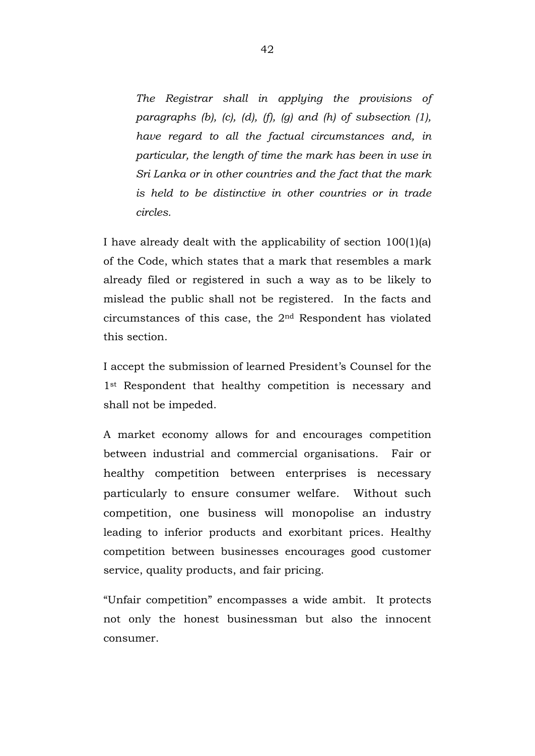*The Registrar shall in applying the provisions of paragraphs (b), (c), (d), (f), (g) and (h) of subsection (1), have regard to all the factual circumstances and, in particular, the length of time the mark has been in use in Sri Lanka or in other countries and the fact that the mark is held to be distinctive in other countries or in trade circles.*

I have already dealt with the applicability of section 100(1)(a) of the Code, which states that a mark that resembles a mark already filed or registered in such a way as to be likely to mislead the public shall not be registered. In the facts and circumstances of this case, the 2nd Respondent has violated this section.

I accept the submission of learned President's Counsel for the 1<sup>st</sup> Respondent that healthy competition is necessary and shall not be impeded.

A market economy allows for and encourages competition between industrial and commercial organisations. Fair or healthy competition between enterprises is necessary particularly to ensure consumer welfare. Without such competition, one business will monopolise an industry leading to inferior products and exorbitant prices. Healthy competition between businesses encourages good customer service, quality products, and fair pricing.

"Unfair competition" encompasses a wide ambit. It protects not only the honest businessman but also the innocent consumer.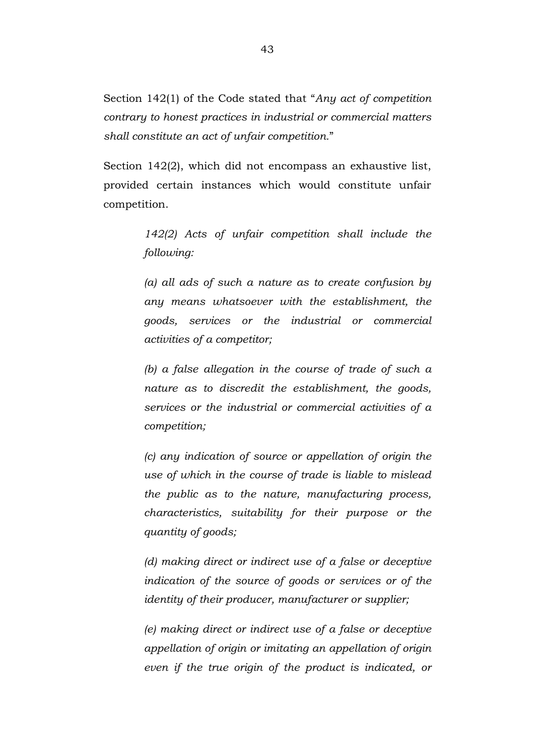Section 142(1) of the Code stated that "*Any act of competition contrary to honest practices in industrial or commercial matters shall constitute an act of unfair competition.*"

Section 142(2), which did not encompass an exhaustive list, provided certain instances which would constitute unfair competition.

> *142(2) Acts of unfair competition shall include the following:*

> *(a) all ads of such a nature as to create confusion by any means whatsoever with the establishment, the goods, services or the industrial or commercial activities of a competitor;*

> *(b) a false allegation in the course of trade of such a nature as to discredit the establishment, the goods, services or the industrial or commercial activities of a competition;*

> *(c) any indication of source or appellation of origin the use of which in the course of trade is liable to mislead the public as to the nature, manufacturing process, characteristics, suitability for their purpose or the quantity of goods;*

> *(d) making direct or indirect use of a false or deceptive indication of the source of goods or services or of the identity of their producer, manufacturer or supplier;*

> *(e) making direct or indirect use of a false or deceptive appellation of origin or imitating an appellation of origin even if the true origin of the product is indicated, or*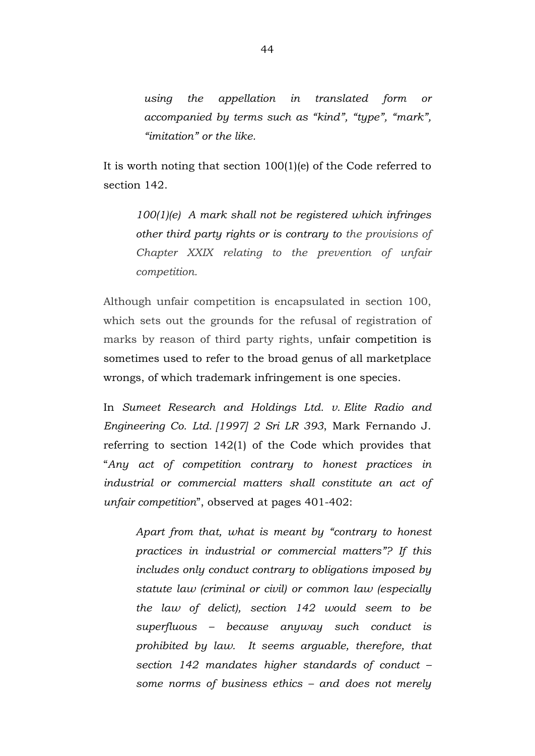*using the appellation in translated form or accompanied by terms such as "kind", "type", "mark", "imitation" or the like.*

It is worth noting that section 100(1)(e) of the Code referred to section 142.

> *100(1)(e) A mark shall not be registered which infringes other third party rights or is contrary to the provisions of Chapter XXIX relating to the prevention of unfair competition.*

Although unfair competition is encapsulated in section 100, which sets out the grounds for the refusal of registration of marks by reason of third party rights, unfair competition is sometimes used to refer to the broad genus of all marketplace wrongs, of which trademark infringement is one species.

In *Sumeet Research and Holdings Ltd. v. Elite Radio and Engineering Co. Ltd. [1997] 2 Sri LR 393*, Mark Fernando J. referring to section 142(1) of the Code which provides that "*Any act of competition contrary to honest practices in industrial or commercial matters shall constitute an act of unfair competition*", observed at pages 401-402:

*Apart from that, what is meant by "contrary to honest practices in industrial or commercial matters"? If this includes only conduct contrary to obligations imposed by statute law (criminal or civil) or common law (especially the law of delict), section 142 would seem to be superfluous – because anyway such conduct is prohibited by law. It seems arguable, therefore, that section 142 mandates higher standards of conduct – some norms of business ethics – and does not merely*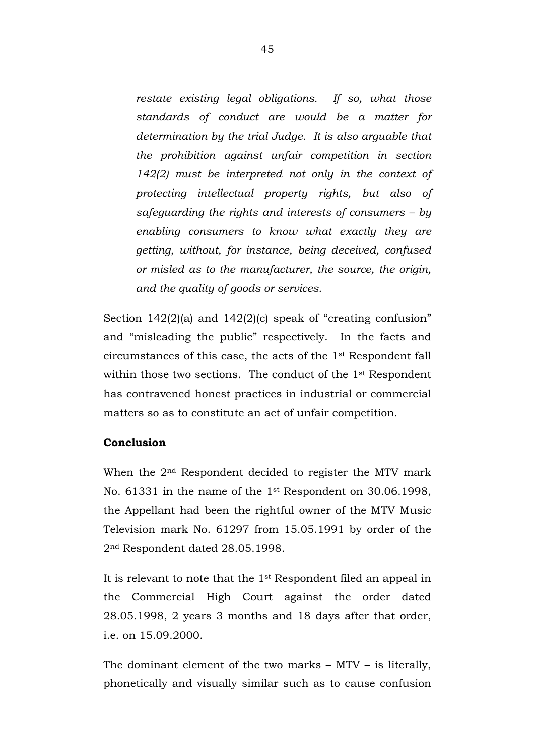*restate existing legal obligations. If so, what those standards of conduct are would be a matter for determination by the trial Judge. It is also arguable that the prohibition against unfair competition in section 142(2) must be interpreted not only in the context of protecting intellectual property rights, but also of safeguarding the rights and interests of consumers – by enabling consumers to know what exactly they are getting, without, for instance, being deceived, confused or misled as to the manufacturer, the source, the origin, and the quality of goods or services.*

Section 142(2)(a) and 142(2)(c) speak of "creating confusion" and "misleading the public" respectively. In the facts and circumstances of this case, the acts of the 1st Respondent fall within those two sections. The conduct of the 1<sup>st</sup> Respondent has contravened honest practices in industrial or commercial matters so as to constitute an act of unfair competition.

# **Conclusion**

When the 2nd Respondent decided to register the MTV mark No. 61331 in the name of the 1st Respondent on 30.06.1998, the Appellant had been the rightful owner of the MTV Music Television mark No. 61297 from 15.05.1991 by order of the 2nd Respondent dated 28.05.1998.

It is relevant to note that the 1st Respondent filed an appeal in the Commercial High Court against the order dated 28.05.1998, 2 years 3 months and 18 days after that order, i.e. on 15.09.2000.

The dominant element of the two marks – MTV – is literally, phonetically and visually similar such as to cause confusion